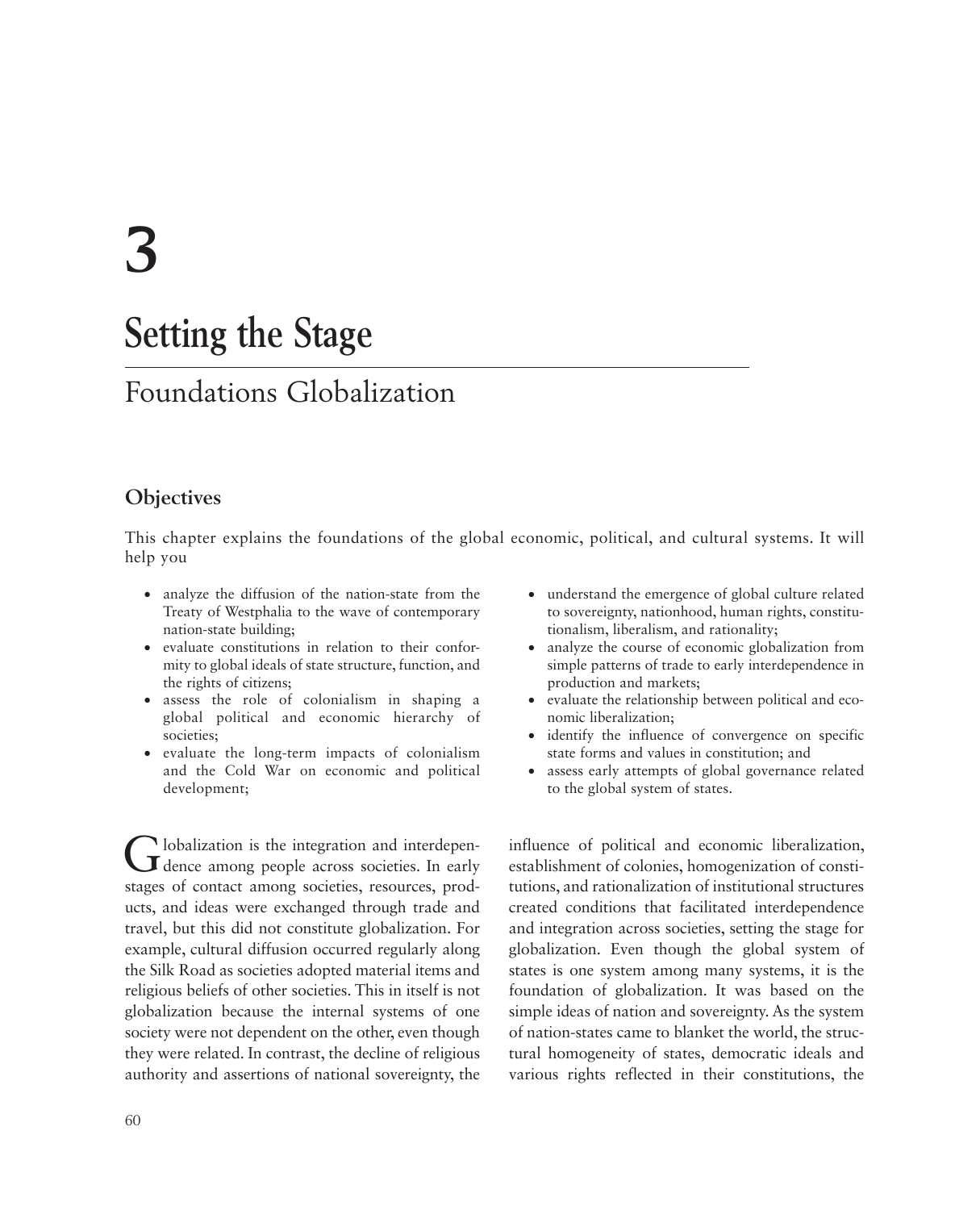# **3**

# **Setting the Stage**

# Foundations Globalization

# **Objectives**

This chapter explains the foundations of the global economic, political, and cultural systems. It will help you

- analyze the diffusion of the nation-state from the Treaty of Westphalia to the wave of contemporary nation-state building;
- evaluate constitutions in relation to their conformity to global ideals of state structure, function, and the rights of citizens;
- assess the role of colonialism in shaping a global political and economic hierarchy of societies;
- evaluate the long-term impacts of colonialism and the Cold War on economic and political development;

Globalization is the integration and interdependence among people across societies. In early stages of contact among societies, resources, products, and ideas were exchanged through trade and travel, but this did not constitute globalization. For example, cultural diffusion occurred regularly along the Silk Road as societies adopted material items and religious beliefs of other societies. This in itself is not globalization because the internal systems of one society were not dependent on the other, even though they were related. In contrast, the decline of religious authority and assertions of national sovereignty, the

- understand the emergence of global culture related to sovereignty, nationhood, human rights, constitutionalism, liberalism, and rationality;
- analyze the course of economic globalization from simple patterns of trade to early interdependence in production and markets;
- evaluate the relationship between political and economic liberalization;
- identify the influence of convergence on specific state forms and values in constitution; and
- assess early attempts of global governance related to the global system of states.

influence of political and economic liberalization, establishment of colonies, homogenization of constitutions, and rationalization of institutional structures created conditions that facilitated interdependence and integration across societies, setting the stage for globalization. Even though the global system of states is one system among many systems, it is the foundation of globalization. It was based on the simple ideas of nation and sovereignty. As the system of nation-states came to blanket the world, the structural homogeneity of states, democratic ideals and various rights reflected in their constitutions, the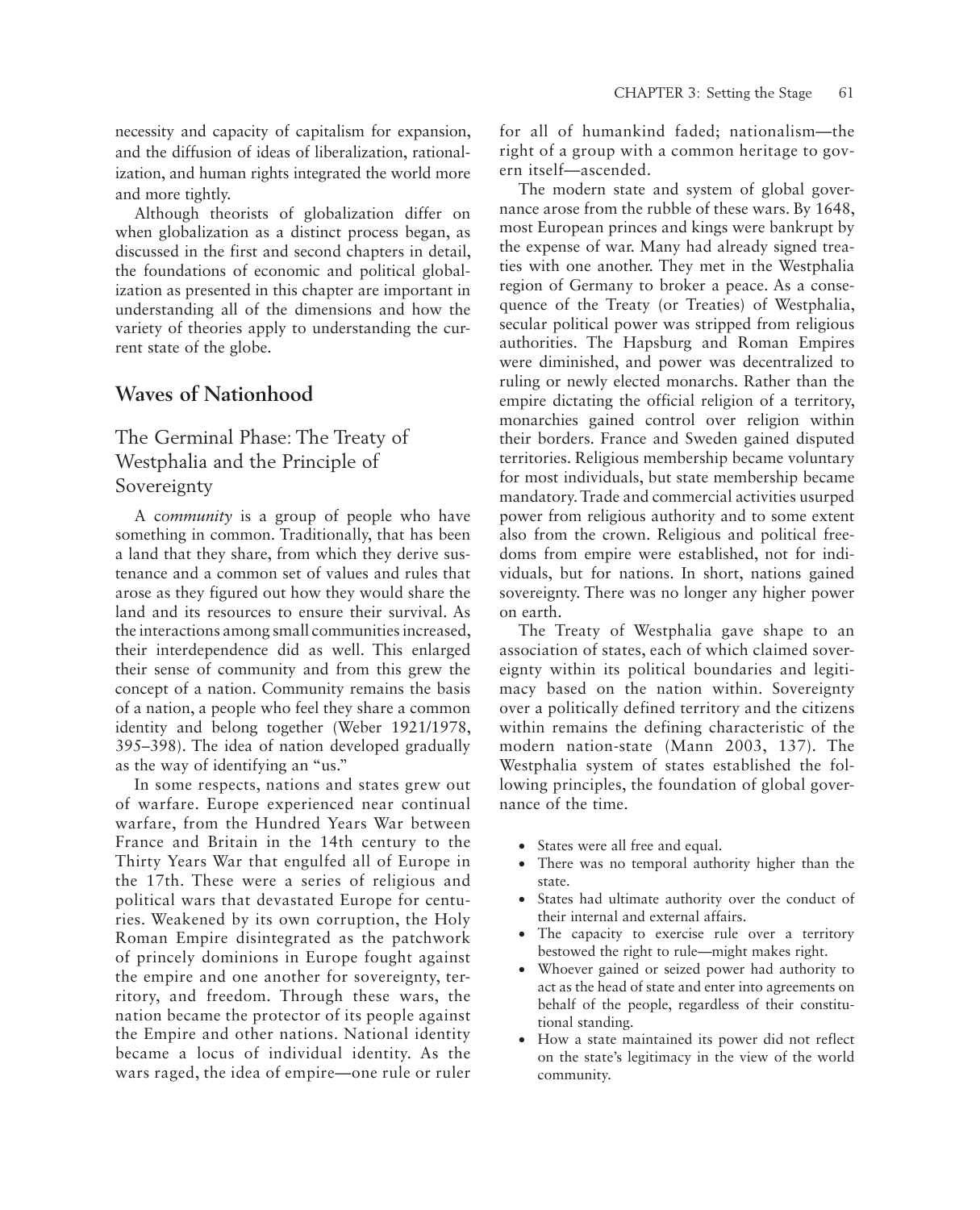necessity and capacity of capitalism for expansion, and the diffusion of ideas of liberalization, rationalization, and human rights integrated the world more and more tightly.

Although theorists of globalization differ on when globalization as a distinct process began, as discussed in the first and second chapters in detail, the foundations of economic and political globalization as presented in this chapter are important in understanding all of the dimensions and how the variety of theories apply to understanding the current state of the globe.

# **Waves of Nationhood**

# The Germinal Phase: The Treaty of Westphalia and the Principle of Sovereignty

A c*ommunity* is a group of people who have something in common. Traditionally, that has been a land that they share, from which they derive sustenance and a common set of values and rules that arose as they figured out how they would share the land and its resources to ensure their survival. As the interactions among small communities increased, their interdependence did as well. This enlarged their sense of community and from this grew the concept of a nation. Community remains the basis of a nation, a people who feel they share a common identity and belong together (Weber 1921/1978, 395–398). The idea of nation developed gradually as the way of identifying an "us."

In some respects, nations and states grew out of warfare. Europe experienced near continual warfare, from the Hundred Years War between France and Britain in the 14th century to the Thirty Years War that engulfed all of Europe in the 17th. These were a series of religious and political wars that devastated Europe for centuries. Weakened by its own corruption, the Holy Roman Empire disintegrated as the patchwork of princely dominions in Europe fought against the empire and one another for sovereignty, territory, and freedom. Through these wars, the nation became the protector of its people against the Empire and other nations. National identity became a locus of individual identity. As the wars raged, the idea of empire—one rule or ruler

for all of humankind faded; nationalism—the right of a group with a common heritage to govern itself—ascended.

The modern state and system of global governance arose from the rubble of these wars. By 1648, most European princes and kings were bankrupt by the expense of war. Many had already signed treaties with one another. They met in the Westphalia region of Germany to broker a peace. As a consequence of the Treaty (or Treaties) of Westphalia, secular political power was stripped from religious authorities. The Hapsburg and Roman Empires were diminished, and power was decentralized to ruling or newly elected monarchs. Rather than the empire dictating the official religion of a territory, monarchies gained control over religion within their borders. France and Sweden gained disputed territories. Religious membership became voluntary for most individuals, but state membership became mandatory. Trade and commercial activities usurped power from religious authority and to some extent also from the crown. Religious and political freedoms from empire were established, not for individuals, but for nations. In short, nations gained sovereignty. There was no longer any higher power on earth.

The Treaty of Westphalia gave shape to an association of states, each of which claimed sovereignty within its political boundaries and legitimacy based on the nation within. Sovereignty over a politically defined territory and the citizens within remains the defining characteristic of the modern nation-state (Mann 2003, 137). The Westphalia system of states established the following principles, the foundation of global governance of the time.

- States were all free and equal.
- There was no temporal authority higher than the state.
- States had ultimate authority over the conduct of their internal and external affairs.
- The capacity to exercise rule over a territory bestowed the right to rule—might makes right.
- Whoever gained or seized power had authority to act as the head of state and enter into agreements on behalf of the people, regardless of their constitutional standing.
- How a state maintained its power did not reflect on the state's legitimacy in the view of the world community.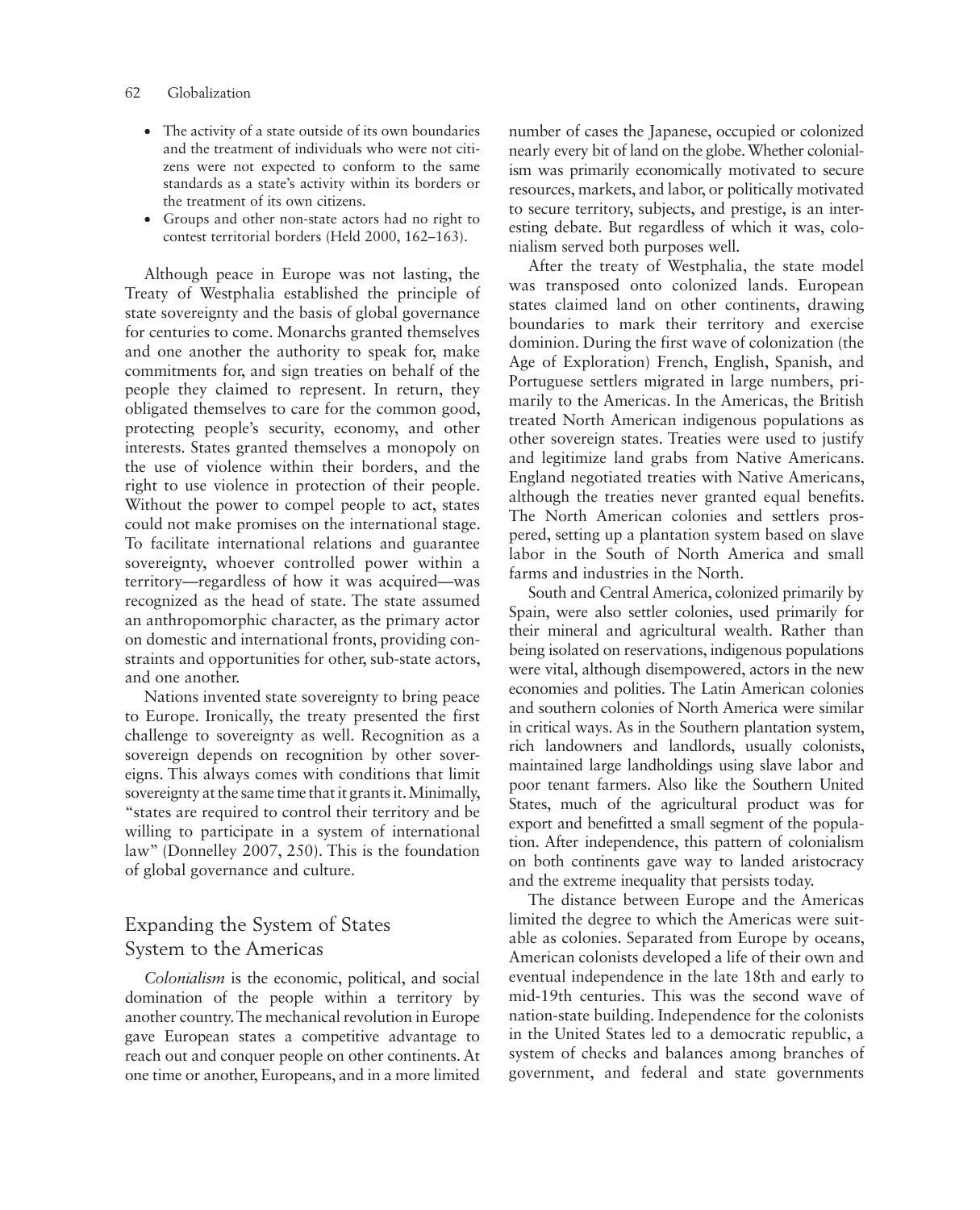- The activity of a state outside of its own boundaries and the treatment of individuals who were not citizens were not expected to conform to the same standards as a state's activity within its borders or the treatment of its own citizens.
- Groups and other non-state actors had no right to contest territorial borders (Held 2000, 162–163).

Although peace in Europe was not lasting, the Treaty of Westphalia established the principle of state sovereignty and the basis of global governance for centuries to come. Monarchs granted themselves and one another the authority to speak for, make commitments for, and sign treaties on behalf of the people they claimed to represent. In return, they obligated themselves to care for the common good, protecting people's security, economy, and other interests. States granted themselves a monopoly on the use of violence within their borders, and the right to use violence in protection of their people. Without the power to compel people to act, states could not make promises on the international stage. To facilitate international relations and guarantee sovereignty, whoever controlled power within a territory—regardless of how it was acquired—was recognized as the head of state. The state assumed an anthropomorphic character, as the primary actor on domestic and international fronts, providing constraints and opportunities for other, sub-state actors, and one another.

Nations invented state sovereignty to bring peace to Europe. Ironically, the treaty presented the first challenge to sovereignty as well. Recognition as a sovereign depends on recognition by other sovereigns. This always comes with conditions that limit sovereignty at the same time that it grants it. Minimally, "states are required to control their territory and be willing to participate in a system of international law" (Donnelley 2007, 250). This is the foundation of global governance and culture.

# Expanding the System of States System to the Americas

*Colonialism* is the economic, political, and social domination of the people within a territory by another country. The mechanical revolution in Europe gave European states a competitive advantage to reach out and conquer people on other continents. At one time or another, Europeans, and in a more limited

number of cases the Japanese, occupied or colonized nearly every bit of land on the globe. Whether colonialism was primarily economically motivated to secure resources, markets, and labor, or politically motivated to secure territory, subjects, and prestige, is an interesting debate. But regardless of which it was, colonialism served both purposes well.

After the treaty of Westphalia, the state model was transposed onto colonized lands. European states claimed land on other continents, drawing boundaries to mark their territory and exercise dominion. During the first wave of colonization (the Age of Exploration) French, English, Spanish, and Portuguese settlers migrated in large numbers, primarily to the Americas. In the Americas, the British treated North American indigenous populations as other sovereign states. Treaties were used to justify and legitimize land grabs from Native Americans. England negotiated treaties with Native Americans, although the treaties never granted equal benefits. The North American colonies and settlers prospered, setting up a plantation system based on slave labor in the South of North America and small farms and industries in the North.

South and Central America, colonized primarily by Spain, were also settler colonies, used primarily for their mineral and agricultural wealth. Rather than being isolated on reservations, indigenous populations were vital, although disempowered, actors in the new economies and polities. The Latin American colonies and southern colonies of North America were similar in critical ways. As in the Southern plantation system, rich landowners and landlords, usually colonists, maintained large landholdings using slave labor and poor tenant farmers. Also like the Southern United States, much of the agricultural product was for export and benefitted a small segment of the population. After independence, this pattern of colonialism on both continents gave way to landed aristocracy and the extreme inequality that persists today.

The distance between Europe and the Americas limited the degree to which the Americas were suitable as colonies. Separated from Europe by oceans, American colonists developed a life of their own and eventual independence in the late 18th and early to mid-19th centuries. This was the second wave of nation-state building. Independence for the colonists in the United States led to a democratic republic, a system of checks and balances among branches of government, and federal and state governments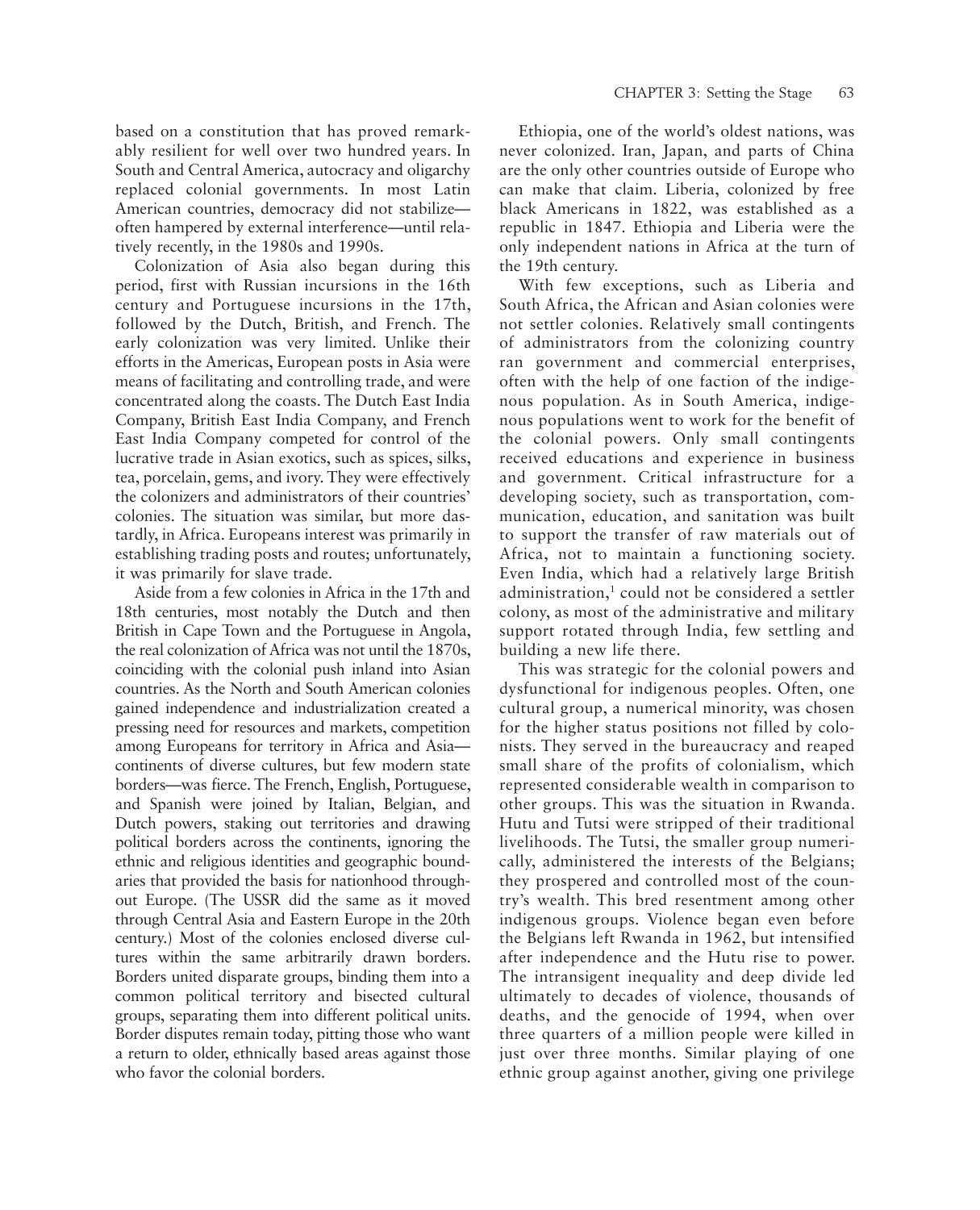based on a constitution that has proved remarkably resilient for well over two hundred years. In South and Central America, autocracy and oligarchy replaced colonial governments. In most Latin American countries, democracy did not stabilize often hampered by external interference—until relatively recently, in the 1980s and 1990s.

Colonization of Asia also began during this period, first with Russian incursions in the 16th century and Portuguese incursions in the 17th, followed by the Dutch, British, and French. The early colonization was very limited. Unlike their efforts in the Americas, European posts in Asia were means of facilitating and controlling trade, and were concentrated along the coasts. The Dutch East India Company, British East India Company, and French East India Company competed for control of the lucrative trade in Asian exotics, such as spices, silks, tea, porcelain, gems, and ivory. They were effectively the colonizers and administrators of their countries' colonies. The situation was similar, but more dastardly, in Africa. Europeans interest was primarily in establishing trading posts and routes; unfortunately, it was primarily for slave trade.

Aside from a few colonies in Africa in the 17th and 18th centuries, most notably the Dutch and then British in Cape Town and the Portuguese in Angola, the real colonization of Africa was not until the 1870s, coinciding with the colonial push inland into Asian countries. As the North and South American colonies gained independence and industrialization created a pressing need for resources and markets, competition among Europeans for territory in Africa and Asia continents of diverse cultures, but few modern state borders—was fierce. The French, English, Portuguese, and Spanish were joined by Italian, Belgian, and Dutch powers, staking out territories and drawing political borders across the continents, ignoring the ethnic and religious identities and geographic boundaries that provided the basis for nationhood throughout Europe. (The USSR did the same as it moved through Central Asia and Eastern Europe in the 20th century.) Most of the colonies enclosed diverse cultures within the same arbitrarily drawn borders. Borders united disparate groups, binding them into a common political territory and bisected cultural groups, separating them into different political units. Border disputes remain today, pitting those who want a return to older, ethnically based areas against those who favor the colonial borders.

Ethiopia, one of the world's oldest nations, was never colonized. Iran, Japan, and parts of China are the only other countries outside of Europe who can make that claim. Liberia, colonized by free black Americans in 1822, was established as a republic in 1847. Ethiopia and Liberia were the only independent nations in Africa at the turn of the 19th century.

With few exceptions, such as Liberia and South Africa, the African and Asian colonies were not settler colonies. Relatively small contingents of administrators from the colonizing country ran government and commercial enterprises, often with the help of one faction of the indigenous population. As in South America, indigenous populations went to work for the benefit of the colonial powers. Only small contingents received educations and experience in business and government. Critical infrastructure for a developing society, such as transportation, communication, education, and sanitation was built to support the transfer of raw materials out of Africa, not to maintain a functioning society. Even India, which had a relatively large British administration,<sup>1</sup> could not be considered a settler colony, as most of the administrative and military support rotated through India, few settling and building a new life there.

This was strategic for the colonial powers and dysfunctional for indigenous peoples. Often, one cultural group, a numerical minority, was chosen for the higher status positions not filled by colonists. They served in the bureaucracy and reaped small share of the profits of colonialism, which represented considerable wealth in comparison to other groups. This was the situation in Rwanda. Hutu and Tutsi were stripped of their traditional livelihoods. The Tutsi, the smaller group numerically, administered the interests of the Belgians; they prospered and controlled most of the country's wealth. This bred resentment among other indigenous groups. Violence began even before the Belgians left Rwanda in 1962, but intensified after independence and the Hutu rise to power. The intransigent inequality and deep divide led ultimately to decades of violence, thousands of deaths, and the genocide of 1994, when over three quarters of a million people were killed in just over three months. Similar playing of one ethnic group against another, giving one privilege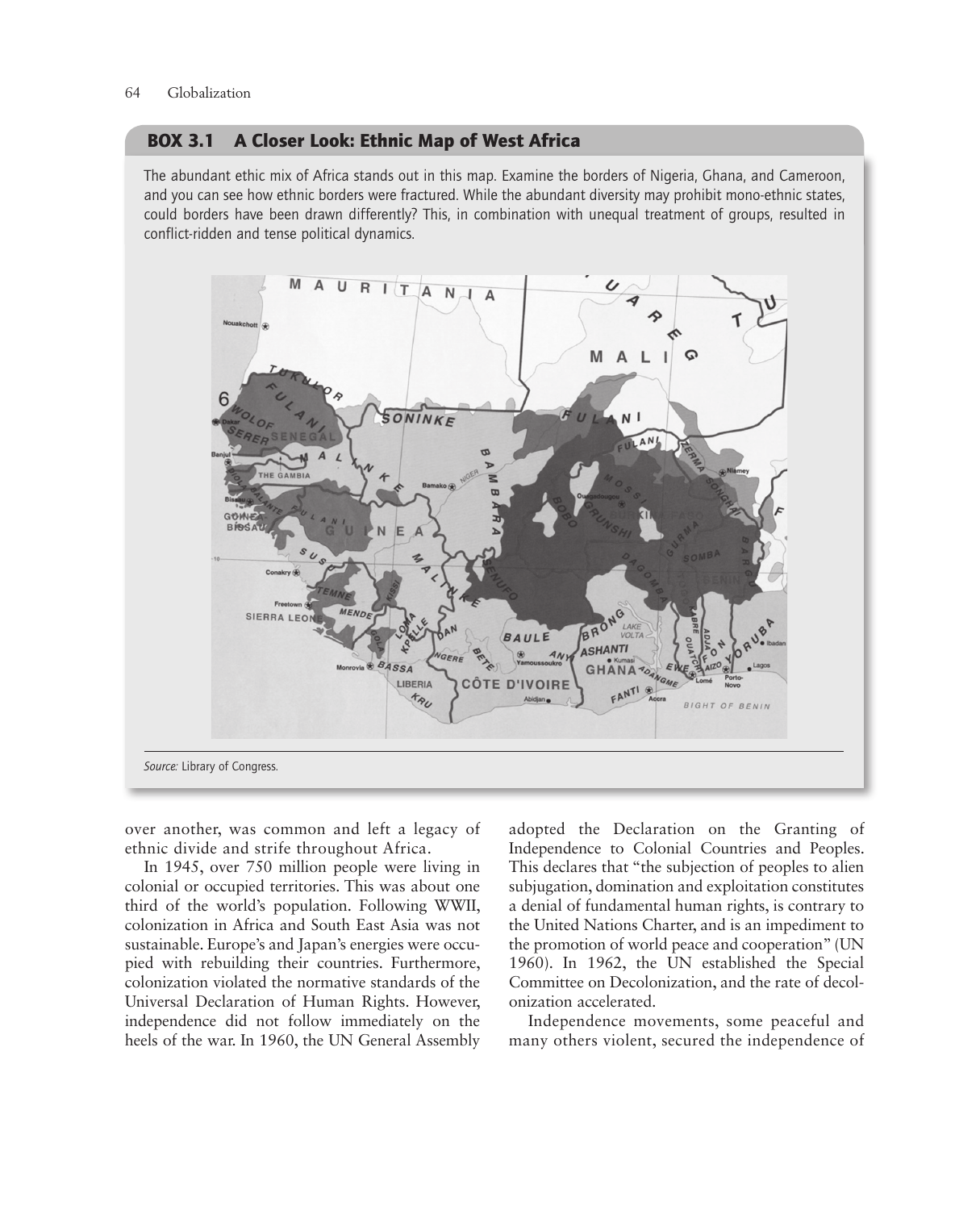#### BOX 3.1 A Closer Look: Ethnic Map of West Africa

The abundant ethic mix of Africa stands out in this map. Examine the borders of Nigeria, Ghana, and Cameroon, and you can see how ethnic borders were fractured. While the abundant diversity may prohibit mono-ethnic states, could borders have been drawn differently? This, in combination with unequal treatment of groups, resulted in conflict-ridden and tense political dynamics.



over another, was common and left a legacy of ethnic divide and strife throughout Africa.

In 1945, over 750 million people were living in colonial or occupied territories. This was about one third of the world's population. Following WWII, colonization in Africa and South East Asia was not sustainable. Europe's and Japan's energies were occupied with rebuilding their countries. Furthermore, colonization violated the normative standards of the Universal Declaration of Human Rights. However, independence did not follow immediately on the heels of the war. In 1960, the UN General Assembly

adopted the Declaration on the Granting of Independence to Colonial Countries and Peoples. This declares that "the subjection of peoples to alien subjugation, domination and exploitation constitutes a denial of fundamental human rights, is contrary to the United Nations Charter, and is an impediment to the promotion of world peace and cooperation" (UN 1960). In 1962, the UN established the Special Committee on Decolonization, and the rate of decolonization accelerated.

Independence movements, some peaceful and many others violent, secured the independence of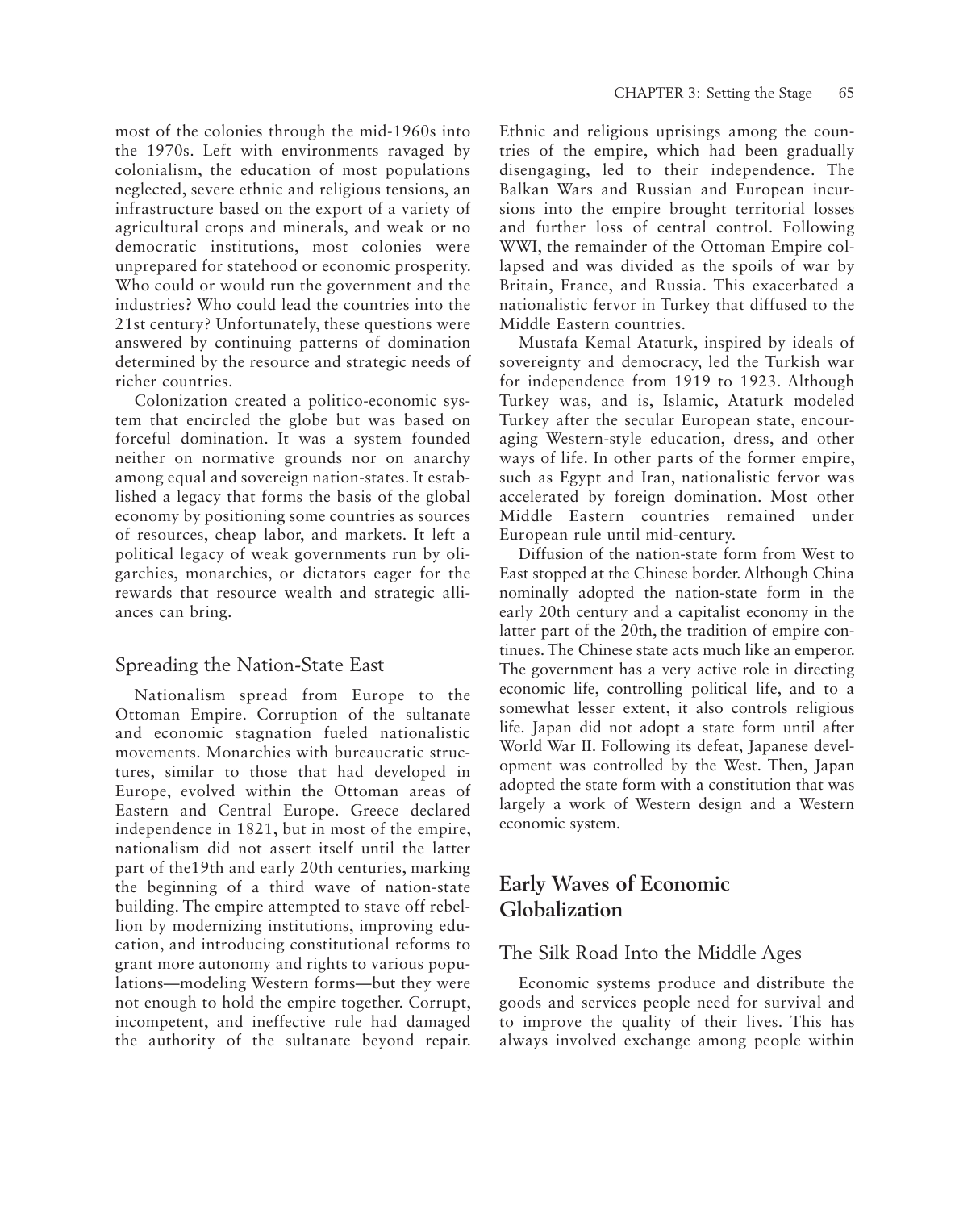most of the colonies through the mid-1960s into the 1970s. Left with environments ravaged by colonialism, the education of most populations neglected, severe ethnic and religious tensions, an infrastructure based on the export of a variety of agricultural crops and minerals, and weak or no democratic institutions, most colonies were unprepared for statehood or economic prosperity.

Who could or would run the government and the industries? Who could lead the countries into the 21st century? Unfortunately, these questions were answered by continuing patterns of domination determined by the resource and strategic needs of richer countries.

Colonization created a politico-economic system that encircled the globe but was based on forceful domination. It was a system founded neither on normative grounds nor on anarchy among equal and sovereign nation-states. It established a legacy that forms the basis of the global economy by positioning some countries as sources of resources, cheap labor, and markets. It left a political legacy of weak governments run by oligarchies, monarchies, or dictators eager for the rewards that resource wealth and strategic alliances can bring.

#### Spreading the Nation-State East

Nationalism spread from Europe to the Ottoman Empire. Corruption of the sultanate and economic stagnation fueled nationalistic movements. Monarchies with bureaucratic structures, similar to those that had developed in Europe, evolved within the Ottoman areas of Eastern and Central Europe. Greece declared independence in 1821, but in most of the empire, nationalism did not assert itself until the latter part of the19th and early 20th centuries, marking the beginning of a third wave of nation-state building. The empire attempted to stave off rebellion by modernizing institutions, improving education, and introducing constitutional reforms to grant more autonomy and rights to various populations—modeling Western forms—but they were not enough to hold the empire together. Corrupt, incompetent, and ineffective rule had damaged the authority of the sultanate beyond repair.

Ethnic and religious uprisings among the countries of the empire, which had been gradually disengaging, led to their independence. The Balkan Wars and Russian and European incursions into the empire brought territorial losses and further loss of central control. Following WWI, the remainder of the Ottoman Empire collapsed and was divided as the spoils of war by Britain, France, and Russia. This exacerbated a nationalistic fervor in Turkey that diffused to the Middle Eastern countries.

Mustafa Kemal Ataturk, inspired by ideals of sovereignty and democracy, led the Turkish war for independence from 1919 to 1923. Although Turkey was, and is, Islamic, Ataturk modeled Turkey after the secular European state, encouraging Western-style education, dress, and other ways of life. In other parts of the former empire, such as Egypt and Iran, nationalistic fervor was accelerated by foreign domination. Most other Middle Eastern countries remained under European rule until mid-century.

Diffusion of the nation-state form from West to East stopped at the Chinese border. Although China nominally adopted the nation-state form in the early 20th century and a capitalist economy in the latter part of the 20th, the tradition of empire continues. The Chinese state acts much like an emperor. The government has a very active role in directing economic life, controlling political life, and to a somewhat lesser extent, it also controls religious life. Japan did not adopt a state form until after World War II. Following its defeat, Japanese development was controlled by the West. Then, Japan adopted the state form with a constitution that was largely a work of Western design and a Western economic system.

# **Early Waves of Economic Globalization**

#### The Silk Road Into the Middle Ages

Economic systems produce and distribute the goods and services people need for survival and to improve the quality of their lives. This has always involved exchange among people within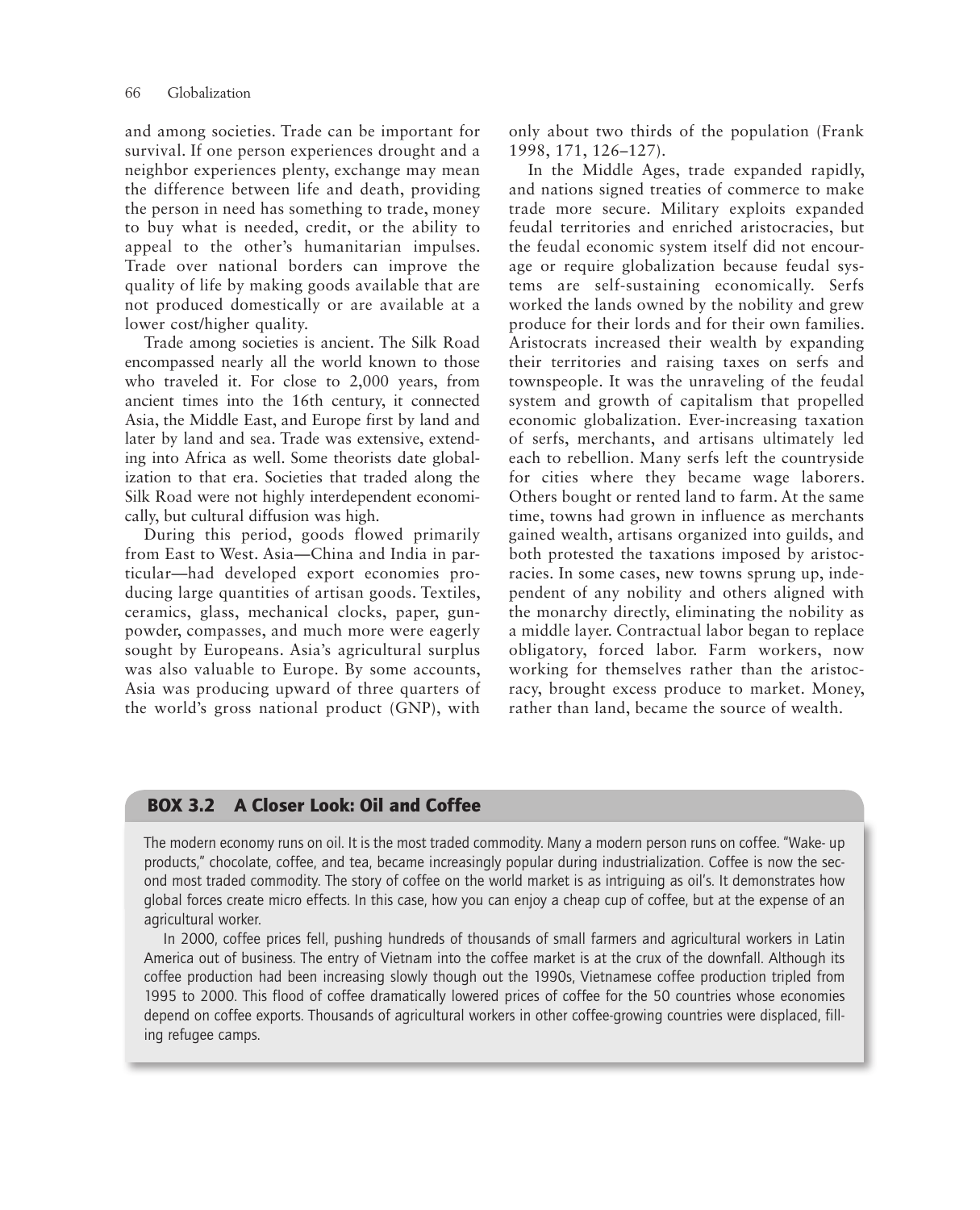and among societies. Trade can be important for survival. If one person experiences drought and a neighbor experiences plenty, exchange may mean the difference between life and death, providing the person in need has something to trade, money to buy what is needed, credit, or the ability to appeal to the other's humanitarian impulses. Trade over national borders can improve the quality of life by making goods available that are not produced domestically or are available at a lower cost/higher quality.

Trade among societies is ancient. The Silk Road encompassed nearly all the world known to those who traveled it. For close to 2,000 years, from ancient times into the 16th century, it connected Asia, the Middle East, and Europe first by land and later by land and sea. Trade was extensive, extending into Africa as well. Some theorists date globalization to that era. Societies that traded along the Silk Road were not highly interdependent economically, but cultural diffusion was high.

During this period, goods flowed primarily from East to West. Asia—China and India in particular—had developed export economies producing large quantities of artisan goods. Textiles, ceramics, glass, mechanical clocks, paper, gunpowder, compasses, and much more were eagerly sought by Europeans. Asia's agricultural surplus was also valuable to Europe. By some accounts, Asia was producing upward of three quarters of the world's gross national product (GNP), with

only about two thirds of the population (Frank 1998, 171, 126–127).

In the Middle Ages, trade expanded rapidly, and nations signed treaties of commerce to make trade more secure. Military exploits expanded feudal territories and enriched aristocracies, but the feudal economic system itself did not encourage or require globalization because feudal systems are self-sustaining economically. Serfs worked the lands owned by the nobility and grew produce for their lords and for their own families. Aristocrats increased their wealth by expanding their territories and raising taxes on serfs and townspeople. It was the unraveling of the feudal system and growth of capitalism that propelled economic globalization. Ever-increasing taxation of serfs, merchants, and artisans ultimately led each to rebellion. Many serfs left the countryside for cities where they became wage laborers. Others bought or rented land to farm. At the same time, towns had grown in influence as merchants gained wealth, artisans organized into guilds, and both protested the taxations imposed by aristocracies. In some cases, new towns sprung up, independent of any nobility and others aligned with the monarchy directly, eliminating the nobility as a middle layer. Contractual labor began to replace obligatory, forced labor. Farm workers, now working for themselves rather than the aristocracy, brought excess produce to market. Money, rather than land, became the source of wealth.

#### BOX 3.2 A Closer Look: Oil and Coffee

The modern economy runs on oil. It is the most traded commodity. Many a modern person runs on coffee. "Wake- up products," chocolate, coffee, and tea, became increasingly popular during industrialization. Coffee is now the second most traded commodity. The story of coffee on the world market is as intriguing as oil's. It demonstrates how global forces create micro effects. In this case, how you can enjoy a cheap cup of coffee, but at the expense of an agricultural worker.

In 2000, coffee prices fell, pushing hundreds of thousands of small farmers and agricultural workers in Latin America out of business. The entry of Vietnam into the coffee market is at the crux of the downfall. Although its coffee production had been increasing slowly though out the 1990s, Vietnamese coffee production tripled from 1995 to 2000. This flood of coffee dramatically lowered prices of coffee for the 50 countries whose economies depend on coffee exports. Thousands of agricultural workers in other coffee-growing countries were displaced, filling refugee camps.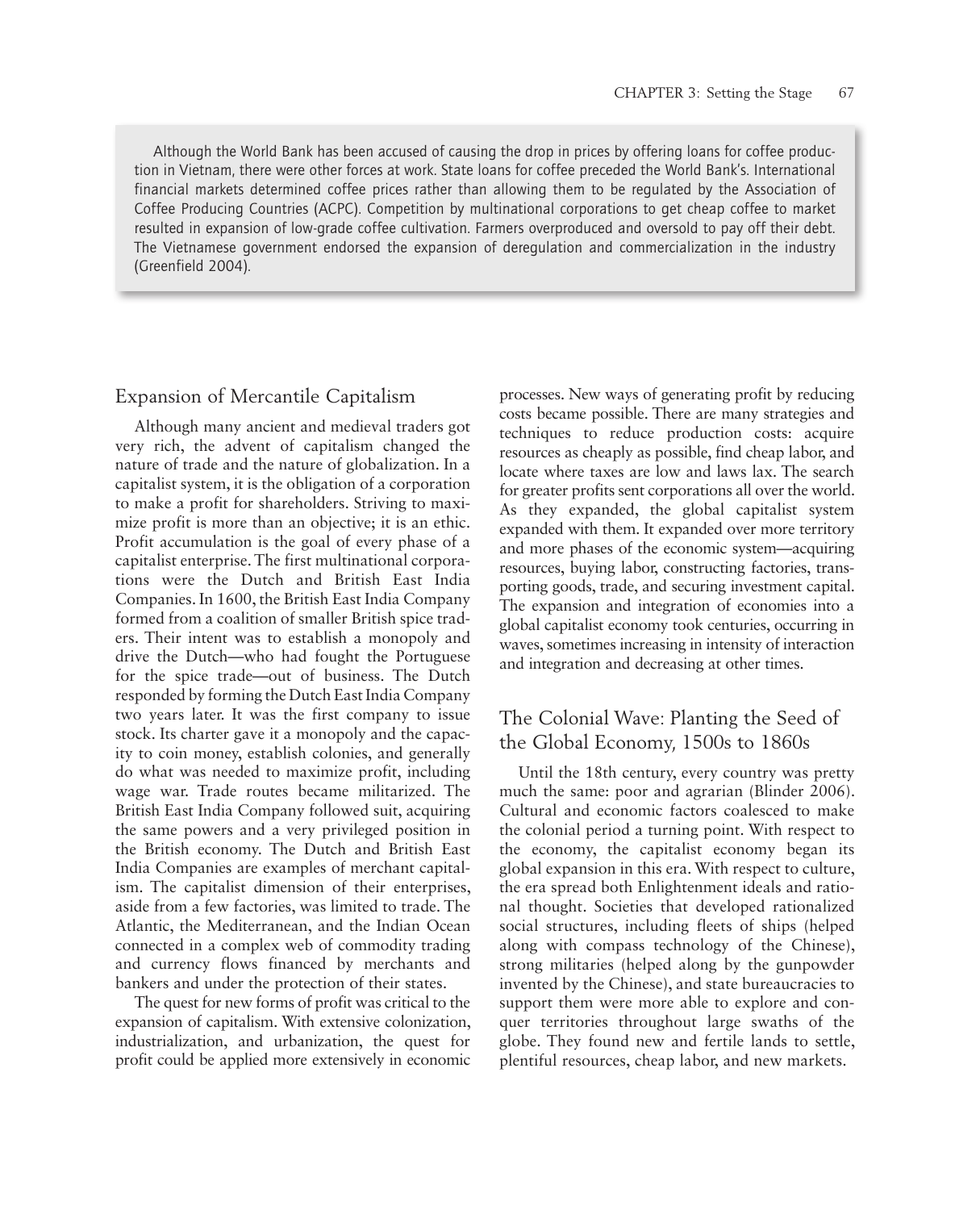Although the World Bank has been accused of causing the drop in prices by offering loans for coffee production in Vietnam, there were other forces at work. State loans for coffee preceded the World Bank's. International financial markets determined coffee prices rather than allowing them to be regulated by the Association of Coffee Producing Countries (ACPC). Competition by multinational corporations to get cheap coffee to market resulted in expansion of low-grade coffee cultivation. Farmers overproduced and oversold to pay off their debt. The Vietnamese government endorsed the expansion of deregulation and commercialization in the industry (Greenfield 2004).

#### Expansion of Mercantile Capitalism

Although many ancient and medieval traders got very rich, the advent of capitalism changed the nature of trade and the nature of globalization. In a capitalist system, it is the obligation of a corporation to make a profit for shareholders. Striving to maximize profit is more than an objective; it is an ethic. Profit accumulation is the goal of every phase of a capitalist enterprise. The first multinational corporations were the Dutch and British East India Companies. In 1600, the British East India Company formed from a coalition of smaller British spice traders. Their intent was to establish a monopoly and drive the Dutch—who had fought the Portuguese for the spice trade—out of business. The Dutch responded by forming the Dutch East India Company two years later. It was the first company to issue stock. Its charter gave it a monopoly and the capacity to coin money, establish colonies, and generally do what was needed to maximize profit, including wage war. Trade routes became militarized. The British East India Company followed suit, acquiring the same powers and a very privileged position in the British economy. The Dutch and British East India Companies are examples of merchant capitalism. The capitalist dimension of their enterprises, aside from a few factories, was limited to trade. The Atlantic, the Mediterranean, and the Indian Ocean connected in a complex web of commodity trading and currency flows financed by merchants and bankers and under the protection of their states.

The quest for new forms of profit was critical to the expansion of capitalism. With extensive colonization, industrialization, and urbanization, the quest for profit could be applied more extensively in economic

processes. New ways of generating profit by reducing costs became possible. There are many strategies and techniques to reduce production costs: acquire resources as cheaply as possible, find cheap labor, and locate where taxes are low and laws lax. The search for greater profits sent corporations all over the world. As they expanded, the global capitalist system expanded with them. It expanded over more territory and more phases of the economic system—acquiring resources, buying labor, constructing factories, transporting goods, trade, and securing investment capital. The expansion and integration of economies into a global capitalist economy took centuries, occurring in waves, sometimes increasing in intensity of interaction and integration and decreasing at other times.

# The Colonial Wave: Planting the Seed of the Global Economy, 1500s to 1860s

Until the 18th century, every country was pretty much the same: poor and agrarian (Blinder 2006). Cultural and economic factors coalesced to make the colonial period a turning point. With respect to the economy, the capitalist economy began its global expansion in this era. With respect to culture, the era spread both Enlightenment ideals and rational thought. Societies that developed rationalized social structures, including fleets of ships (helped along with compass technology of the Chinese), strong militaries (helped along by the gunpowder invented by the Chinese), and state bureaucracies to support them were more able to explore and conquer territories throughout large swaths of the globe. They found new and fertile lands to settle, plentiful resources, cheap labor, and new markets.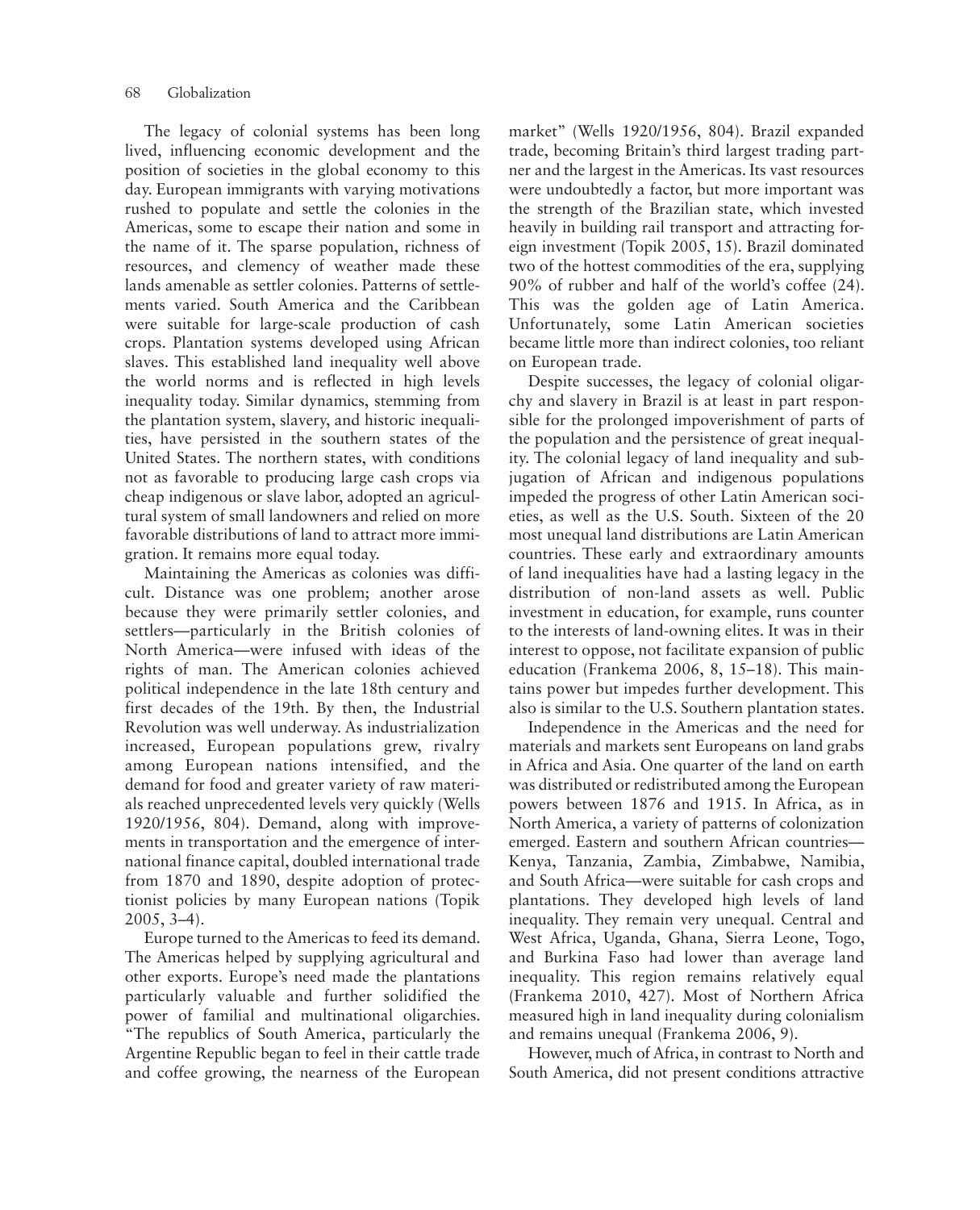The legacy of colonial systems has been long lived, influencing economic development and the position of societies in the global economy to this day. European immigrants with varying motivations rushed to populate and settle the colonies in the Americas, some to escape their nation and some in the name of it. The sparse population, richness of resources, and clemency of weather made these lands amenable as settler colonies. Patterns of settlements varied. South America and the Caribbean were suitable for large-scale production of cash crops. Plantation systems developed using African slaves. This established land inequality well above the world norms and is reflected in high levels inequality today. Similar dynamics, stemming from the plantation system, slavery, and historic inequalities, have persisted in the southern states of the United States. The northern states, with conditions not as favorable to producing large cash crops via cheap indigenous or slave labor, adopted an agricultural system of small landowners and relied on more favorable distributions of land to attract more immigration. It remains more equal today.

Maintaining the Americas as colonies was difficult. Distance was one problem; another arose because they were primarily settler colonies, and settlers—particularly in the British colonies of North America—were infused with ideas of the rights of man. The American colonies achieved political independence in the late 18th century and first decades of the 19th. By then, the Industrial Revolution was well underway. As industrialization increased, European populations grew, rivalry among European nations intensified, and the demand for food and greater variety of raw materials reached unprecedented levels very quickly (Wells 1920/1956, 804). Demand, along with improvements in transportation and the emergence of international finance capital, doubled international trade from 1870 and 1890, despite adoption of protectionist policies by many European nations (Topik 2005, 3–4).

Europe turned to the Americas to feed its demand. The Americas helped by supplying agricultural and other exports. Europe's need made the plantations particularly valuable and further solidified the power of familial and multinational oligarchies. "The republics of South America, particularly the Argentine Republic began to feel in their cattle trade and coffee growing, the nearness of the European

market" (Wells 1920/1956, 804). Brazil expanded trade, becoming Britain's third largest trading partner and the largest in the Americas. Its vast resources were undoubtedly a factor, but more important was the strength of the Brazilian state, which invested heavily in building rail transport and attracting foreign investment (Topik 2005, 15). Brazil dominated two of the hottest commodities of the era, supplying 90% of rubber and half of the world's coffee (24). This was the golden age of Latin America. Unfortunately, some Latin American societies became little more than indirect colonies, too reliant on European trade.

Despite successes, the legacy of colonial oligarchy and slavery in Brazil is at least in part responsible for the prolonged impoverishment of parts of the population and the persistence of great inequality. The colonial legacy of land inequality and subjugation of African and indigenous populations impeded the progress of other Latin American societies, as well as the U.S. South. Sixteen of the 20 most unequal land distributions are Latin American countries. These early and extraordinary amounts of land inequalities have had a lasting legacy in the distribution of non-land assets as well. Public investment in education, for example, runs counter to the interests of land-owning elites. It was in their interest to oppose, not facilitate expansion of public education (Frankema 2006, 8, 15–18). This maintains power but impedes further development. This also is similar to the U.S. Southern plantation states.

Independence in the Americas and the need for materials and markets sent Europeans on land grabs in Africa and Asia. One quarter of the land on earth was distributed or redistributed among the European powers between 1876 and 1915. In Africa, as in North America, a variety of patterns of colonization emerged. Eastern and southern African countries— Kenya, Tanzania, Zambia, Zimbabwe, Namibia, and South Africa—were suitable for cash crops and plantations. They developed high levels of land inequality. They remain very unequal. Central and West Africa, Uganda, Ghana, Sierra Leone, Togo, and Burkina Faso had lower than average land inequality. This region remains relatively equal (Frankema 2010, 427). Most of Northern Africa measured high in land inequality during colonialism and remains unequal (Frankema 2006, 9).

However, much of Africa, in contrast to North and South America, did not present conditions attractive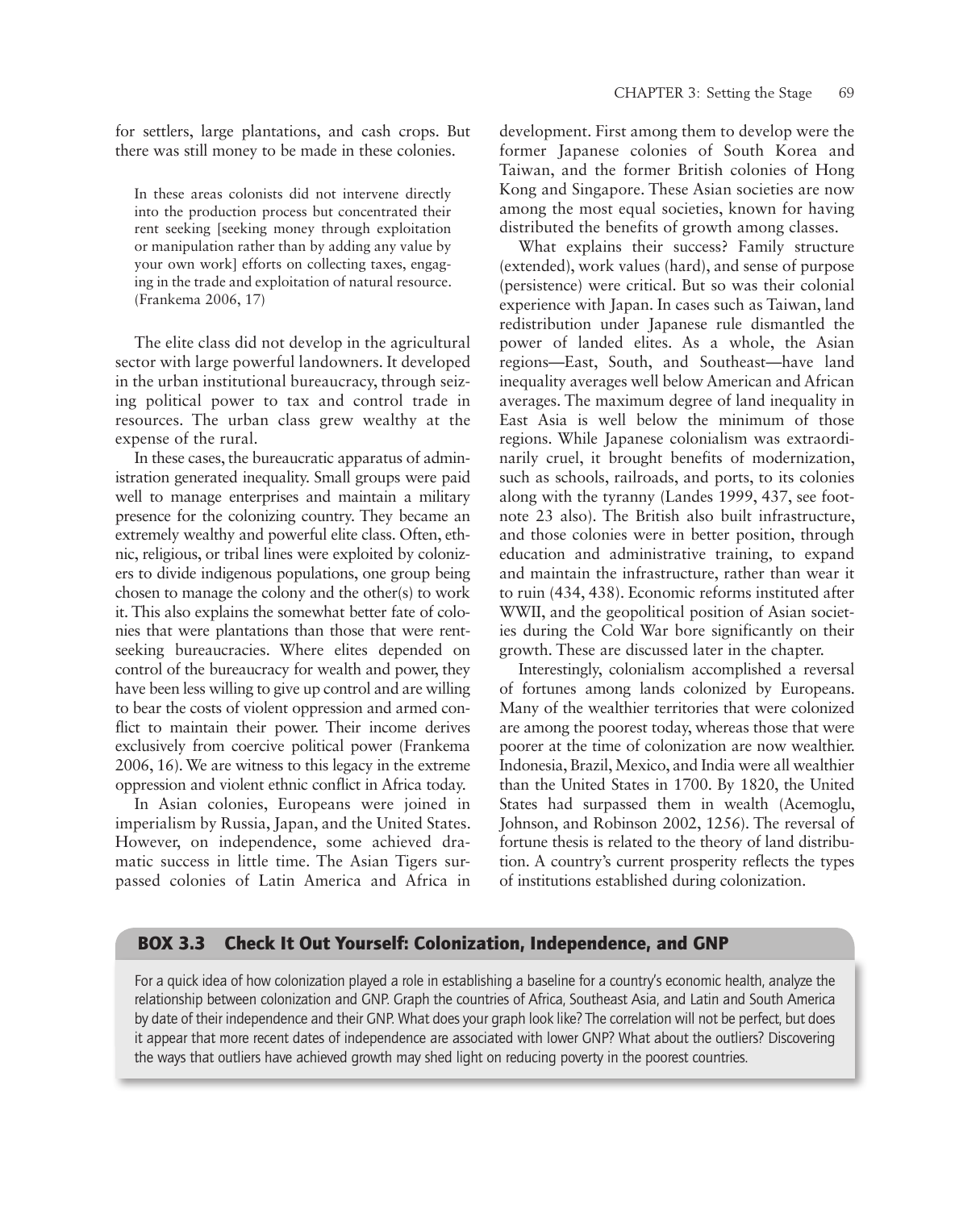for settlers, large plantations, and cash crops. But there was still money to be made in these colonies.

In these areas colonists did not intervene directly into the production process but concentrated their rent seeking [seeking money through exploitation or manipulation rather than by adding any value by your own work] efforts on collecting taxes, engaging in the trade and exploitation of natural resource. (Frankema 2006, 17)

The elite class did not develop in the agricultural sector with large powerful landowners. It developed in the urban institutional bureaucracy, through seizing political power to tax and control trade in resources. The urban class grew wealthy at the expense of the rural.

In these cases, the bureaucratic apparatus of administration generated inequality. Small groups were paid well to manage enterprises and maintain a military presence for the colonizing country. They became an extremely wealthy and powerful elite class. Often, ethnic, religious, or tribal lines were exploited by colonizers to divide indigenous populations, one group being chosen to manage the colony and the other(s) to work it. This also explains the somewhat better fate of colonies that were plantations than those that were rentseeking bureaucracies. Where elites depended on control of the bureaucracy for wealth and power, they have been less willing to give up control and are willing to bear the costs of violent oppression and armed conflict to maintain their power. Their income derives exclusively from coercive political power (Frankema 2006, 16). We are witness to this legacy in the extreme oppression and violent ethnic conflict in Africa today.

In Asian colonies, Europeans were joined in imperialism by Russia, Japan, and the United States. However, on independence, some achieved dramatic success in little time. The Asian Tigers surpassed colonies of Latin America and Africa in development. First among them to develop were the former Japanese colonies of South Korea and Taiwan, and the former British colonies of Hong Kong and Singapore. These Asian societies are now among the most equal societies, known for having distributed the benefits of growth among classes.

What explains their success? Family structure (extended), work values (hard), and sense of purpose (persistence) were critical. But so was their colonial experience with Japan. In cases such as Taiwan, land redistribution under Japanese rule dismantled the power of landed elites. As a whole, the Asian regions—East, South, and Southeast—have land inequality averages well below American and African averages. The maximum degree of land inequality in East Asia is well below the minimum of those regions. While Japanese colonialism was extraordinarily cruel, it brought benefits of modernization, such as schools, railroads, and ports, to its colonies along with the tyranny (Landes 1999, 437, see footnote 23 also). The British also built infrastructure, and those colonies were in better position, through education and administrative training, to expand and maintain the infrastructure, rather than wear it to ruin (434, 438). Economic reforms instituted after WWII, and the geopolitical position of Asian societies during the Cold War bore significantly on their growth. These are discussed later in the chapter.

Interestingly, colonialism accomplished a reversal of fortunes among lands colonized by Europeans. Many of the wealthier territories that were colonized are among the poorest today, whereas those that were poorer at the time of colonization are now wealthier. Indonesia, Brazil, Mexico, and India were all wealthier than the United States in 1700. By 1820, the United States had surpassed them in wealth (Acemoglu, Johnson, and Robinson 2002, 1256). The reversal of fortune thesis is related to the theory of land distribution. A country's current prosperity reflects the types of institutions established during colonization.

#### BOX 3.3 Check It Out Yourself: Colonization, Independence, and GNP

For a quick idea of how colonization played a role in establishing a baseline for a country's economic health, analyze the relationship between colonization and GNP. Graph the countries of Africa, Southeast Asia, and Latin and South America by date of their independence and their GNP. What does your graph look like? The correlation will not be perfect, but does it appear that more recent dates of independence are associated with lower GNP? What about the outliers? Discovering the ways that outliers have achieved growth may shed light on reducing poverty in the poorest countries.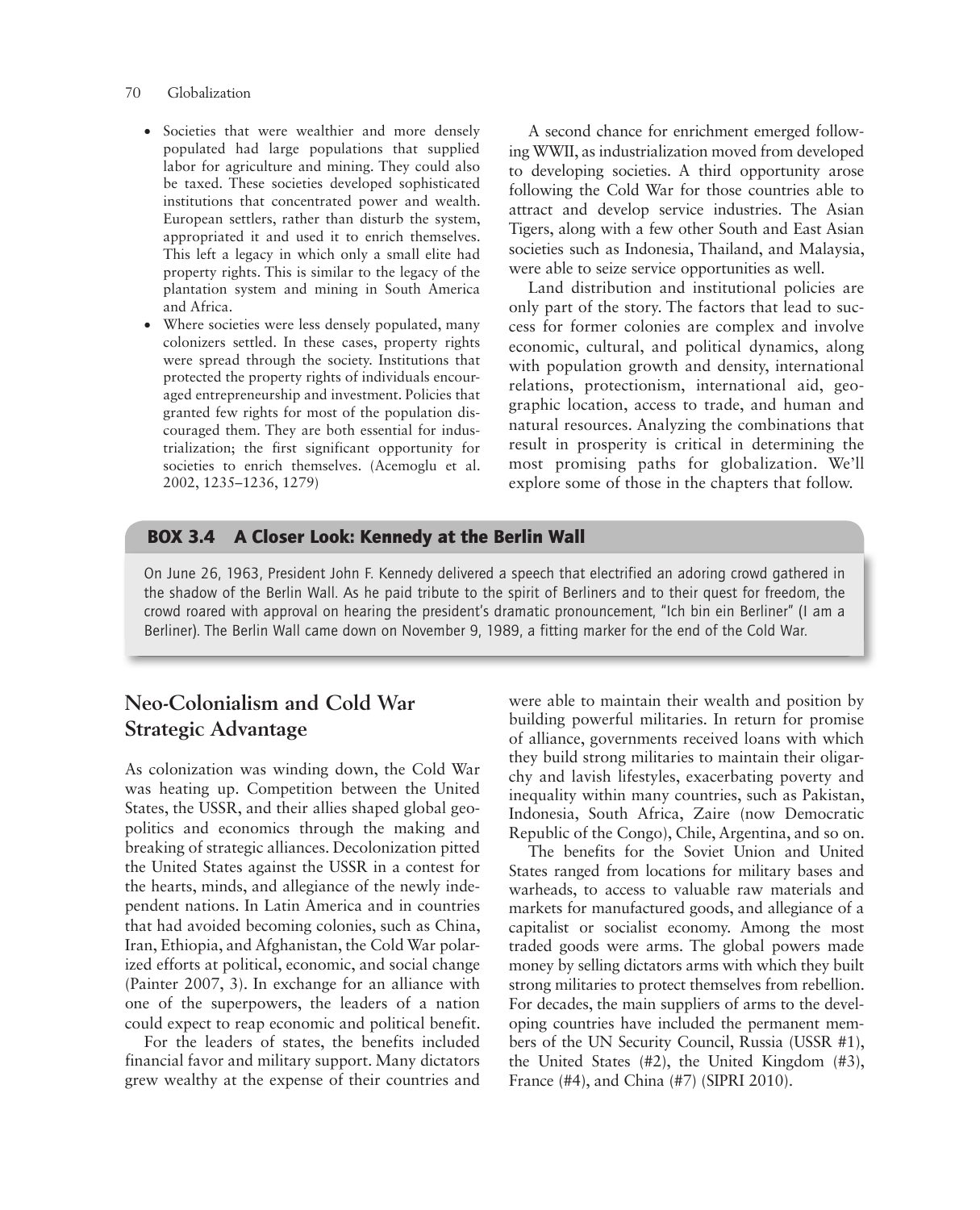- 70——Globalization
	- Societies that were wealthier and more densely populated had large populations that supplied labor for agriculture and mining. They could also be taxed. These societies developed sophisticated institutions that concentrated power and wealth. European settlers, rather than disturb the system, appropriated it and used it to enrich themselves. This left a legacy in which only a small elite had property rights. This is similar to the legacy of the plantation system and mining in South America and Africa.
	- Where societies were less densely populated, many colonizers settled. In these cases, property rights were spread through the society. Institutions that protected the property rights of individuals encouraged entrepreneurship and investment. Policies that granted few rights for most of the population discouraged them. They are both essential for industrialization; the first significant opportunity for societies to enrich themselves. (Acemoglu et al. 2002, 1235–1236, 1279)

A second chance for enrichment emerged following WWII, as industrialization moved from developed to developing societies. A third opportunity arose following the Cold War for those countries able to attract and develop service industries. The Asian Tigers, along with a few other South and East Asian societies such as Indonesia, Thailand, and Malaysia, were able to seize service opportunities as well.

Land distribution and institutional policies are only part of the story. The factors that lead to success for former colonies are complex and involve economic, cultural, and political dynamics, along with population growth and density, international relations, protectionism, international aid, geographic location, access to trade, and human and natural resources. Analyzing the combinations that result in prosperity is critical in determining the most promising paths for globalization. We'll explore some of those in the chapters that follow.

#### BOX 3.4 A Closer Look: Kennedy at the Berlin Wall

On June 26, 1963, President John F. Kennedy delivered a speech that electrified an adoring crowd gathered in the shadow of the Berlin Wall. As he paid tribute to the spirit of Berliners and to their quest for freedom, the crowd roared with approval on hearing the president's dramatic pronouncement, "Ich bin ein Berliner" (I am a Berliner). The Berlin Wall came down on November 9, 1989, a fitting marker for the end of the Cold War.

# **Neo-Colonialism and Cold War Strategic Advantage**

As colonization was winding down, the Cold War was heating up. Competition between the United States, the USSR, and their allies shaped global geopolitics and economics through the making and breaking of strategic alliances. Decolonization pitted the United States against the USSR in a contest for the hearts, minds, and allegiance of the newly independent nations. In Latin America and in countries that had avoided becoming colonies, such as China, Iran, Ethiopia, and Afghanistan, the Cold War polarized efforts at political, economic, and social change (Painter 2007, 3). In exchange for an alliance with one of the superpowers, the leaders of a nation could expect to reap economic and political benefit.

For the leaders of states, the benefits included financial favor and military support. Many dictators grew wealthy at the expense of their countries and were able to maintain their wealth and position by building powerful militaries. In return for promise of alliance, governments received loans with which they build strong militaries to maintain their oligarchy and lavish lifestyles, exacerbating poverty and inequality within many countries, such as Pakistan, Indonesia, South Africa, Zaire (now Democratic Republic of the Congo), Chile, Argentina, and so on.

The benefits for the Soviet Union and United States ranged from locations for military bases and warheads, to access to valuable raw materials and markets for manufactured goods, and allegiance of a capitalist or socialist economy. Among the most traded goods were arms. The global powers made money by selling dictators arms with which they built strong militaries to protect themselves from rebellion. For decades, the main suppliers of arms to the developing countries have included the permanent members of the UN Security Council, Russia (USSR #1), the United States (#2), the United Kingdom (#3), France (#4), and China (#7) (SIPRI 2010).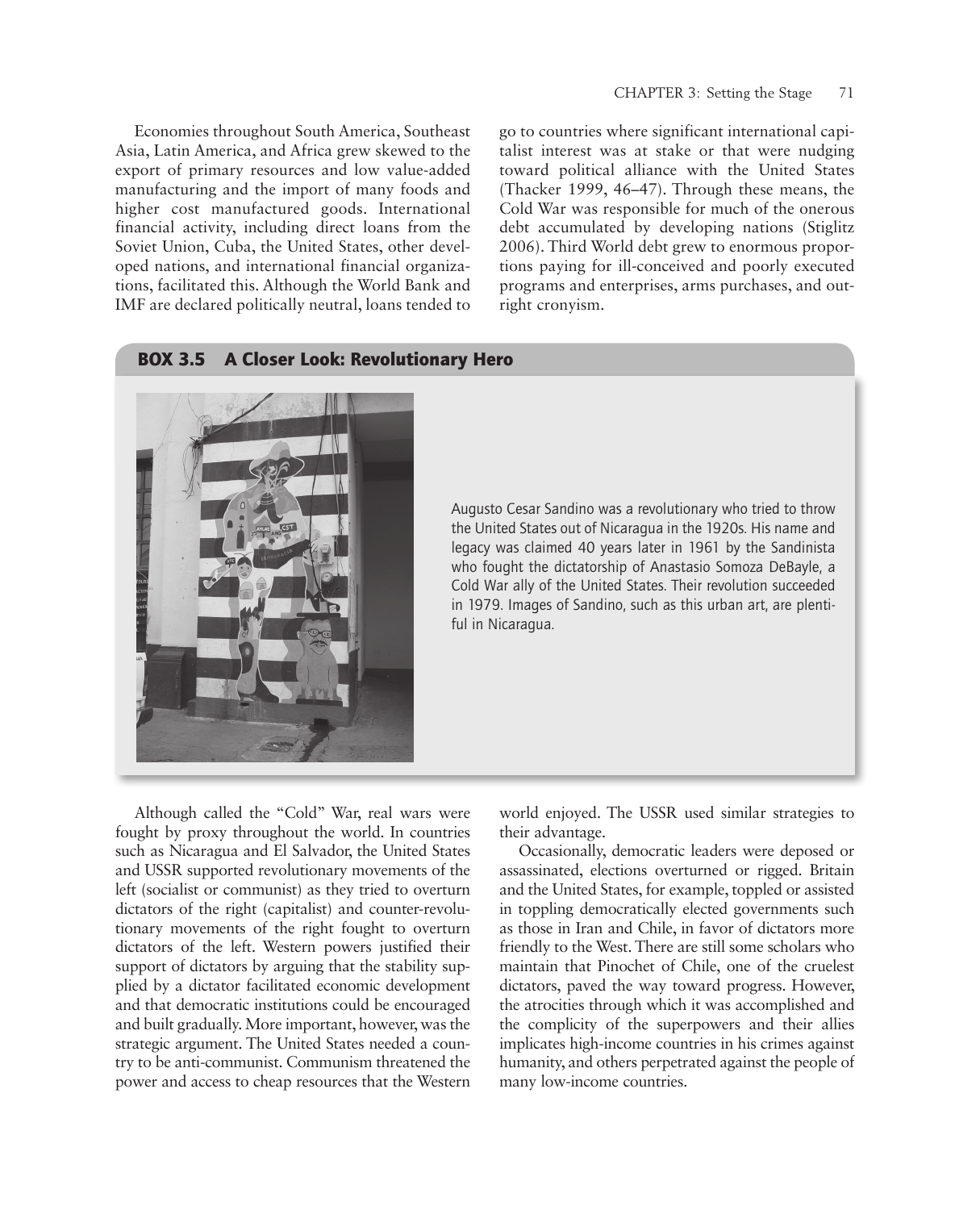Economies throughout South America, Southeast Asia, Latin America, and Africa grew skewed to the export of primary resources and low value-added manufacturing and the import of many foods and higher cost manufactured goods. International financial activity, including direct loans from the Soviet Union, Cuba, the United States, other developed nations, and international financial organizations, facilitated this. Although the World Bank and IMF are declared politically neutral, loans tended to

go to countries where significant international capitalist interest was at stake or that were nudging toward political alliance with the United States (Thacker 1999, 46–47). Through these means, the Cold War was responsible for much of the onerous debt accumulated by developing nations (Stiglitz 2006). Third World debt grew to enormous proportions paying for ill-conceived and poorly executed programs and enterprises, arms purchases, and outright cronyism.

#### BOX 3.5 A Closer Look: Revolutionary Hero



Augusto Cesar Sandino was a revolutionary who tried to throw the United States out of Nicaragua in the 1920s. His name and legacy was claimed 40 years later in 1961 by the Sandinista who fought the dictatorship of Anastasio Somoza DeBayle, a Cold War ally of the United States. Their revolution succeeded in 1979. Images of Sandino, such as this urban art, are plentiful in Nicaragua.

Although called the "Cold" War, real wars were fought by proxy throughout the world. In countries such as Nicaragua and El Salvador, the United States and USSR supported revolutionary movements of the left (socialist or communist) as they tried to overturn dictators of the right (capitalist) and counter-revolutionary movements of the right fought to overturn dictators of the left. Western powers justified their support of dictators by arguing that the stability supplied by a dictator facilitated economic development and that democratic institutions could be encouraged and built gradually. More important, however, was the strategic argument. The United States needed a country to be anti-communist. Communism threatened the power and access to cheap resources that the Western

world enjoyed. The USSR used similar strategies to their advantage.

Occasionally, democratic leaders were deposed or assassinated, elections overturned or rigged. Britain and the United States, for example, toppled or assisted in toppling democratically elected governments such as those in Iran and Chile, in favor of dictators more friendly to the West. There are still some scholars who maintain that Pinochet of Chile, one of the cruelest dictators, paved the way toward progress. However, the atrocities through which it was accomplished and the complicity of the superpowers and their allies implicates high-income countries in his crimes against humanity, and others perpetrated against the people of many low-income countries.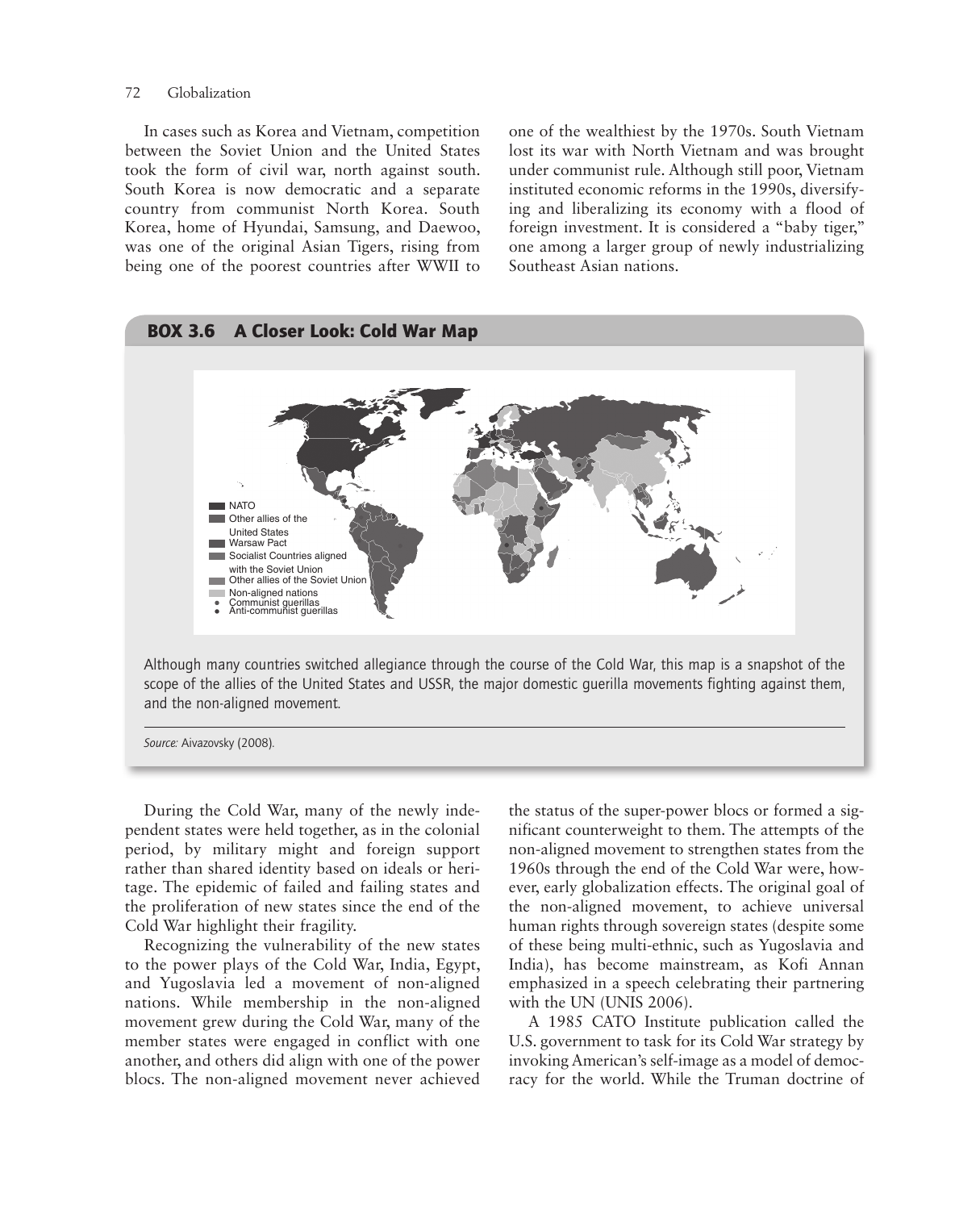#### 72——Globalization

In cases such as Korea and Vietnam, competition between the Soviet Union and the United States took the form of civil war, north against south. South Korea is now democratic and a separate country from communist North Korea. South Korea, home of Hyundai, Samsung, and Daewoo, was one of the original Asian Tigers, rising from being one of the poorest countries after WWII to

one of the wealthiest by the 1970s. South Vietnam lost its war with North Vietnam and was brought under communist rule. Although still poor, Vietnam instituted economic reforms in the 1990s, diversifying and liberalizing its economy with a flood of foreign investment. It is considered a "baby tiger," one among a larger group of newly industrializing Southeast Asian nations.



During the Cold War, many of the newly independent states were held together, as in the colonial period, by military might and foreign support rather than shared identity based on ideals or heritage. The epidemic of failed and failing states and the proliferation of new states since the end of the Cold War highlight their fragility.

Recognizing the vulnerability of the new states to the power plays of the Cold War, India, Egypt, and Yugoslavia led a movement of non-aligned nations. While membership in the non-aligned movement grew during the Cold War, many of the member states were engaged in conflict with one another, and others did align with one of the power blocs. The non-aligned movement never achieved

the status of the super-power blocs or formed a significant counterweight to them. The attempts of the non-aligned movement to strengthen states from the 1960s through the end of the Cold War were, however, early globalization effects. The original goal of the non-aligned movement, to achieve universal human rights through sovereign states (despite some of these being multi-ethnic, such as Yugoslavia and India), has become mainstream, as Kofi Annan emphasized in a speech celebrating their partnering with the UN (UNIS 2006).

A 1985 CATO Institute publication called the U.S. government to task for its Cold War strategy by invoking American's self-image as a model of democracy for the world. While the Truman doctrine of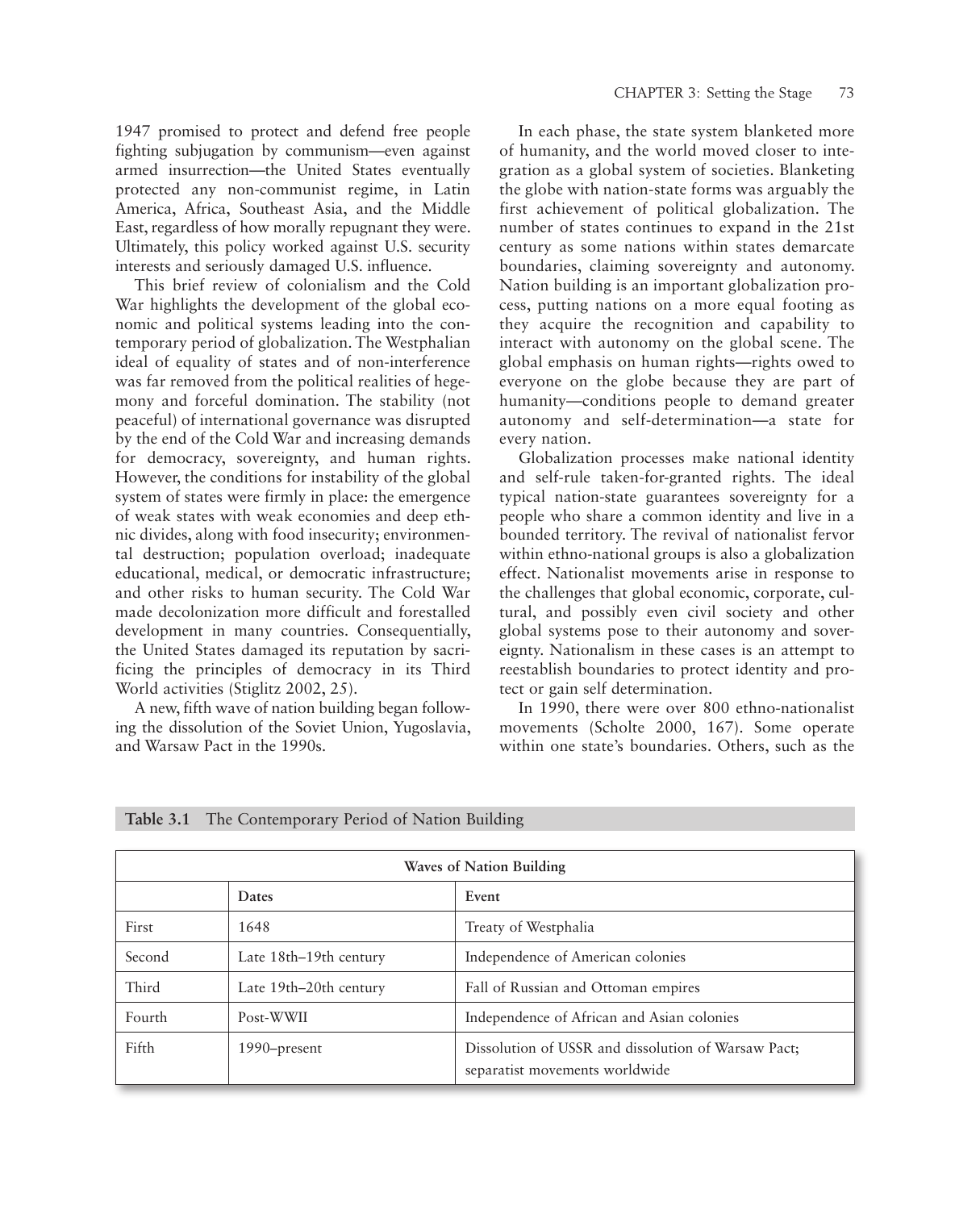1947 promised to protect and defend free people fighting subjugation by communism—even against armed insurrection—the United States eventually protected any non-communist regime, in Latin America, Africa, Southeast Asia, and the Middle East, regardless of how morally repugnant they were. Ultimately, this policy worked against U.S. security interests and seriously damaged U.S. influence.

This brief review of colonialism and the Cold War highlights the development of the global economic and political systems leading into the contemporary period of globalization. The Westphalian ideal of equality of states and of non-interference was far removed from the political realities of hegemony and forceful domination. The stability (not peaceful) of international governance was disrupted by the end of the Cold War and increasing demands for democracy, sovereignty, and human rights. However, the conditions for instability of the global system of states were firmly in place: the emergence of weak states with weak economies and deep ethnic divides, along with food insecurity; environmental destruction; population overload; inadequate educational, medical, or democratic infrastructure; and other risks to human security. The Cold War made decolonization more difficult and forestalled development in many countries. Consequentially, the United States damaged its reputation by sacrificing the principles of democracy in its Third World activities (Stiglitz 2002, 25).

A new, fifth wave of nation building began following the dissolution of the Soviet Union, Yugoslavia, and Warsaw Pact in the 1990s.

In each phase, the state system blanketed more of humanity, and the world moved closer to integration as a global system of societies. Blanketing the globe with nation-state forms was arguably the first achievement of political globalization. The number of states continues to expand in the 21st century as some nations within states demarcate boundaries, claiming sovereignty and autonomy. Nation building is an important globalization process, putting nations on a more equal footing as they acquire the recognition and capability to interact with autonomy on the global scene. The global emphasis on human rights—rights owed to everyone on the globe because they are part of humanity—conditions people to demand greater autonomy and self-determination—a state for every nation.

Globalization processes make national identity and self-rule taken-for-granted rights. The ideal typical nation-state guarantees sovereignty for a people who share a common identity and live in a bounded territory. The revival of nationalist fervor within ethno-national groups is also a globalization effect. Nationalist movements arise in response to the challenges that global economic, corporate, cultural, and possibly even civil society and other global systems pose to their autonomy and sovereignty. Nationalism in these cases is an attempt to reestablish boundaries to protect identity and protect or gain self determination.

In 1990, there were over 800 ethno-nationalist movements (Scholte 2000, 167). Some operate within one state's boundaries. Others, such as the

| <b>Waves of Nation Building</b> |                        |                                                                                       |  |  |  |
|---------------------------------|------------------------|---------------------------------------------------------------------------------------|--|--|--|
|                                 | <b>Dates</b>           | Event                                                                                 |  |  |  |
| First                           | 1648                   | Treaty of Westphalia                                                                  |  |  |  |
| Second                          | Late 18th-19th century | Independence of American colonies                                                     |  |  |  |
| Third                           | Late 19th-20th century | Fall of Russian and Ottoman empires                                                   |  |  |  |
| Fourth                          | Post-WWII              | Independence of African and Asian colonies                                            |  |  |  |
| Fifth                           | 1990–present           | Dissolution of USSR and dissolution of Warsaw Pact;<br>separatist movements worldwide |  |  |  |

**Table 3.1** The Contemporary Period of Nation Building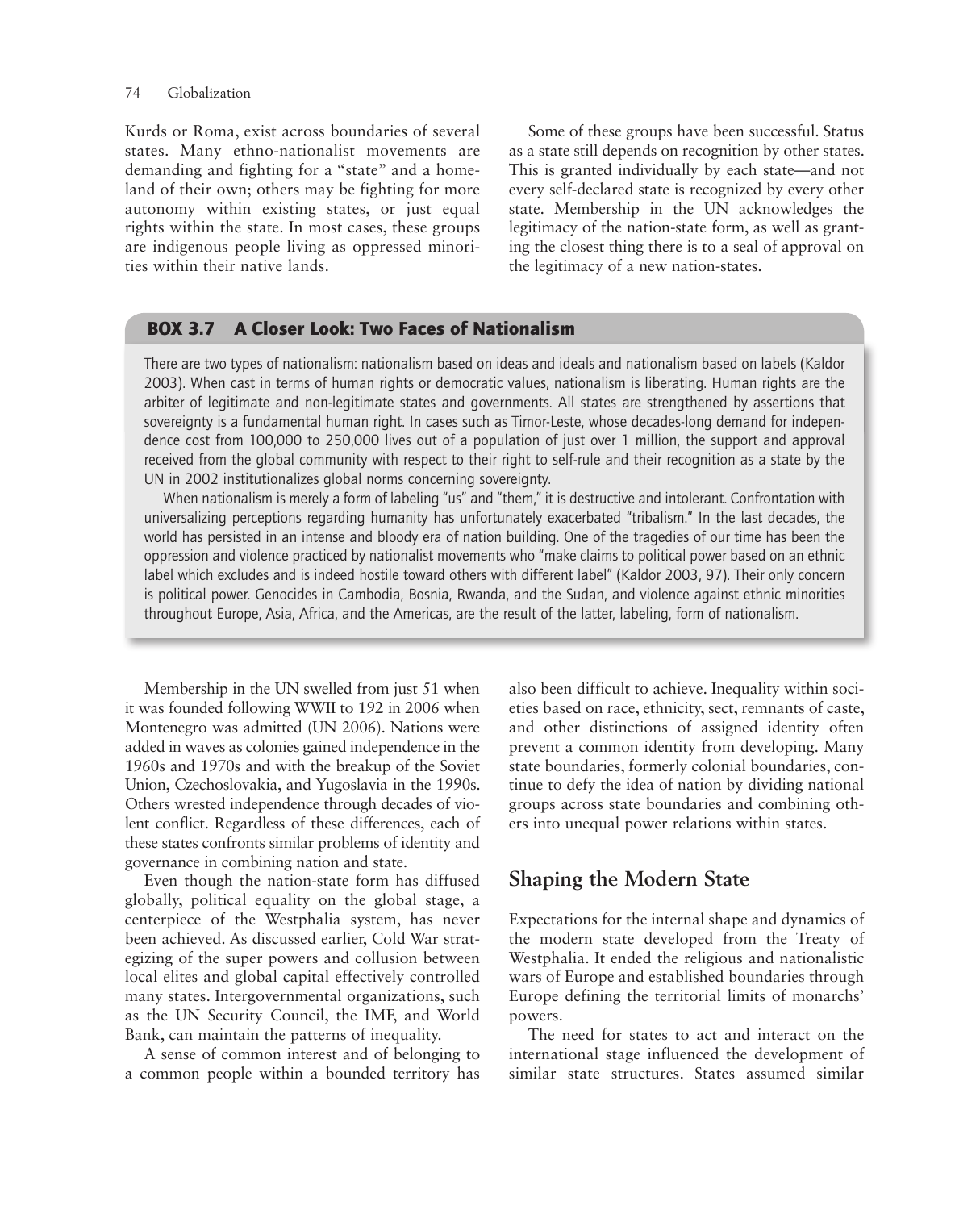#### 74——Globalization

Kurds or Roma, exist across boundaries of several states. Many ethno-nationalist movements are demanding and fighting for a "state" and a homeland of their own; others may be fighting for more autonomy within existing states, or just equal rights within the state. In most cases, these groups are indigenous people living as oppressed minorities within their native lands.

Some of these groups have been successful. Status as a state still depends on recognition by other states. This is granted individually by each state—and not every self-declared state is recognized by every other state. Membership in the UN acknowledges the legitimacy of the nation-state form, as well as granting the closest thing there is to a seal of approval on the legitimacy of a new nation-states.

#### BOX 3.7 A Closer Look: Two Faces of Nationalism

There are two types of nationalism: nationalism based on ideas and ideals and nationalism based on labels (Kaldor 2003). When cast in terms of human rights or democratic values, nationalism is liberating. Human rights are the arbiter of legitimate and non-legitimate states and governments. All states are strengthened by assertions that sovereignty is a fundamental human right. In cases such as Timor-Leste, whose decades-long demand for independence cost from 100,000 to 250,000 lives out of a population of just over 1 million, the support and approval received from the global community with respect to their right to self-rule and their recognition as a state by the UN in 2002 institutionalizes global norms concerning sovereignty.

When nationalism is merely a form of labeling "us" and "them," it is destructive and intolerant. Confrontation with universalizing perceptions regarding humanity has unfortunately exacerbated "tribalism." In the last decades, the world has persisted in an intense and bloody era of nation building. One of the tragedies of our time has been the oppression and violence practiced by nationalist movements who "make claims to political power based on an ethnic label which excludes and is indeed hostile toward others with different label" (Kaldor 2003, 97). Their only concern is political power. Genocides in Cambodia, Bosnia, Rwanda, and the Sudan, and violence against ethnic minorities throughout Europe, Asia, Africa, and the Americas, are the result of the latter, labeling, form of nationalism.

Membership in the UN swelled from just 51 when it was founded following WWII to 192 in 2006 when Montenegro was admitted (UN 2006). Nations were added in waves as colonies gained independence in the 1960s and 1970s and with the breakup of the Soviet Union, Czechoslovakia, and Yugoslavia in the 1990s. Others wrested independence through decades of violent conflict. Regardless of these differences, each of these states confronts similar problems of identity and governance in combining nation and state.

Even though the nation-state form has diffused globally, political equality on the global stage, a centerpiece of the Westphalia system, has never been achieved. As discussed earlier, Cold War strategizing of the super powers and collusion between local elites and global capital effectively controlled many states. Intergovernmental organizations, such as the UN Security Council, the IMF, and World Bank, can maintain the patterns of inequality.

A sense of common interest and of belonging to a common people within a bounded territory has

also been difficult to achieve. Inequality within societies based on race, ethnicity, sect, remnants of caste, and other distinctions of assigned identity often prevent a common identity from developing. Many state boundaries, formerly colonial boundaries, continue to defy the idea of nation by dividing national groups across state boundaries and combining others into unequal power relations within states.

#### **Shaping the Modern State**

Expectations for the internal shape and dynamics of the modern state developed from the Treaty of Westphalia. It ended the religious and nationalistic wars of Europe and established boundaries through Europe defining the territorial limits of monarchs' powers.

The need for states to act and interact on the international stage influenced the development of similar state structures. States assumed similar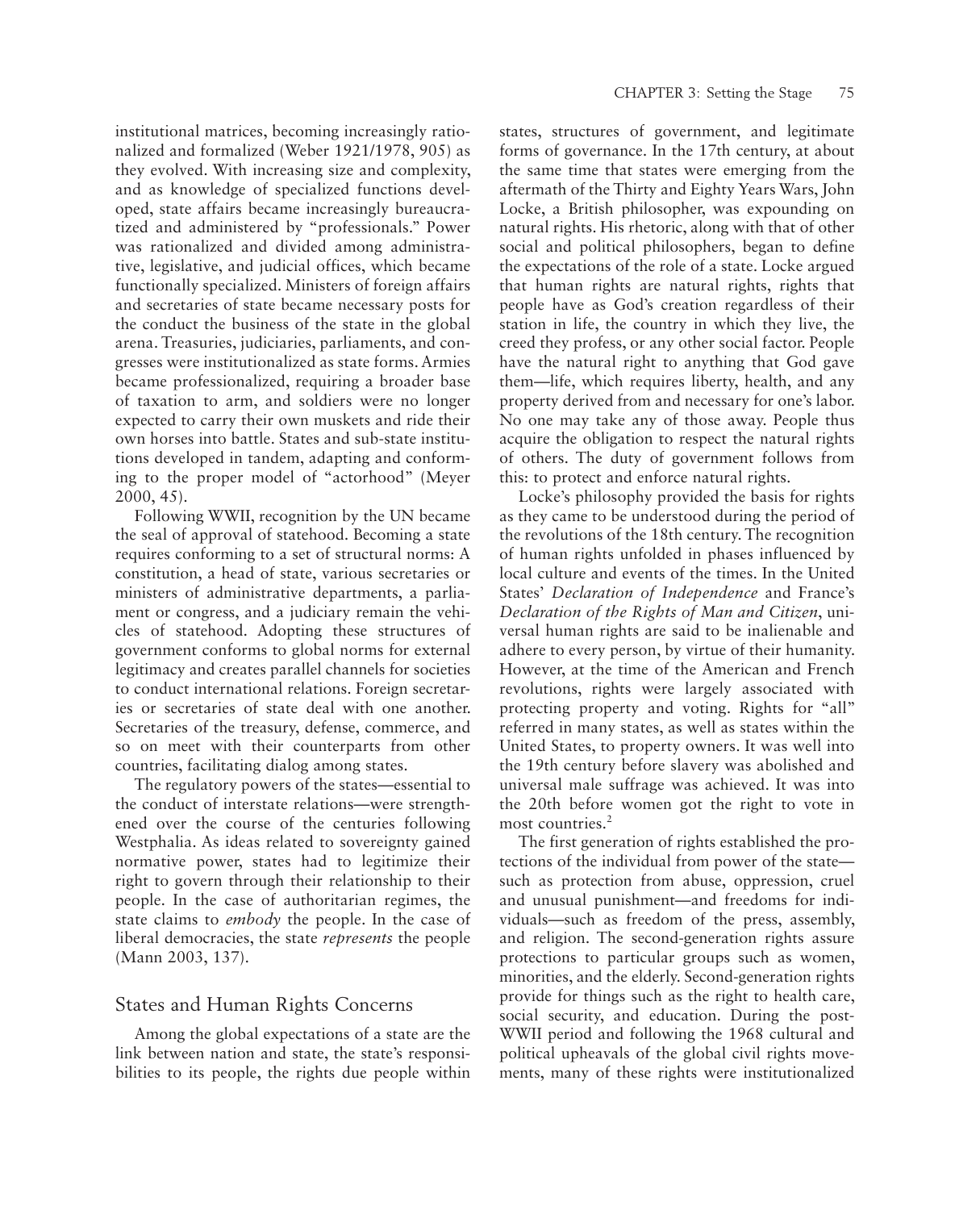institutional matrices, becoming increasingly rationalized and formalized (Weber 1921/1978, 905) as they evolved. With increasing size and complexity, and as knowledge of specialized functions developed, state affairs became increasingly bureaucratized and administered by "professionals." Power was rationalized and divided among administrative, legislative, and judicial offices, which became functionally specialized. Ministers of foreign affairs and secretaries of state became necessary posts for the conduct the business of the state in the global arena. Treasuries, judiciaries, parliaments, and congresses were institutionalized as state forms. Armies became professionalized, requiring a broader base of taxation to arm, and soldiers were no longer expected to carry their own muskets and ride their own horses into battle. States and sub-state institutions developed in tandem, adapting and conforming to the proper model of "actorhood" (Meyer 2000, 45).

Following WWII, recognition by the UN became the seal of approval of statehood. Becoming a state requires conforming to a set of structural norms: A constitution, a head of state, various secretaries or ministers of administrative departments, a parliament or congress, and a judiciary remain the vehicles of statehood. Adopting these structures of government conforms to global norms for external legitimacy and creates parallel channels for societies to conduct international relations. Foreign secretaries or secretaries of state deal with one another. Secretaries of the treasury, defense, commerce, and so on meet with their counterparts from other countries, facilitating dialog among states.

The regulatory powers of the states—essential to the conduct of interstate relations—were strengthened over the course of the centuries following Westphalia. As ideas related to sovereignty gained normative power, states had to legitimize their right to govern through their relationship to their people. In the case of authoritarian regimes, the state claims to *embody* the people. In the case of liberal democracies, the state *represents* the people (Mann 2003, 137).

#### States and Human Rights Concerns

Among the global expectations of a state are the link between nation and state, the state's responsibilities to its people, the rights due people within states, structures of government, and legitimate forms of governance. In the 17th century, at about the same time that states were emerging from the aftermath of the Thirty and Eighty Years Wars, John Locke, a British philosopher, was expounding on natural rights. His rhetoric, along with that of other social and political philosophers, began to define the expectations of the role of a state. Locke argued that human rights are natural rights, rights that people have as God's creation regardless of their station in life, the country in which they live, the creed they profess, or any other social factor. People have the natural right to anything that God gave them—life, which requires liberty, health, and any property derived from and necessary for one's labor. No one may take any of those away. People thus acquire the obligation to respect the natural rights of others. The duty of government follows from this: to protect and enforce natural rights.

Locke's philosophy provided the basis for rights as they came to be understood during the period of the revolutions of the 18th century. The recognition of human rights unfolded in phases influenced by local culture and events of the times. In the United States' *Declaration of Independence* and France's *Declaration of the Rights of Man and Citizen*, universal human rights are said to be inalienable and adhere to every person, by virtue of their humanity. However, at the time of the American and French revolutions, rights were largely associated with protecting property and voting. Rights for "all" referred in many states, as well as states within the United States, to property owners. It was well into the 19th century before slavery was abolished and universal male suffrage was achieved. It was into the 20th before women got the right to vote in most countries.<sup>2</sup>

The first generation of rights established the protections of the individual from power of the state such as protection from abuse, oppression, cruel and unusual punishment—and freedoms for individuals—such as freedom of the press, assembly, and religion. The second-generation rights assure protections to particular groups such as women, minorities, and the elderly. Second-generation rights provide for things such as the right to health care, social security, and education. During the post-WWII period and following the 1968 cultural and political upheavals of the global civil rights movements, many of these rights were institutionalized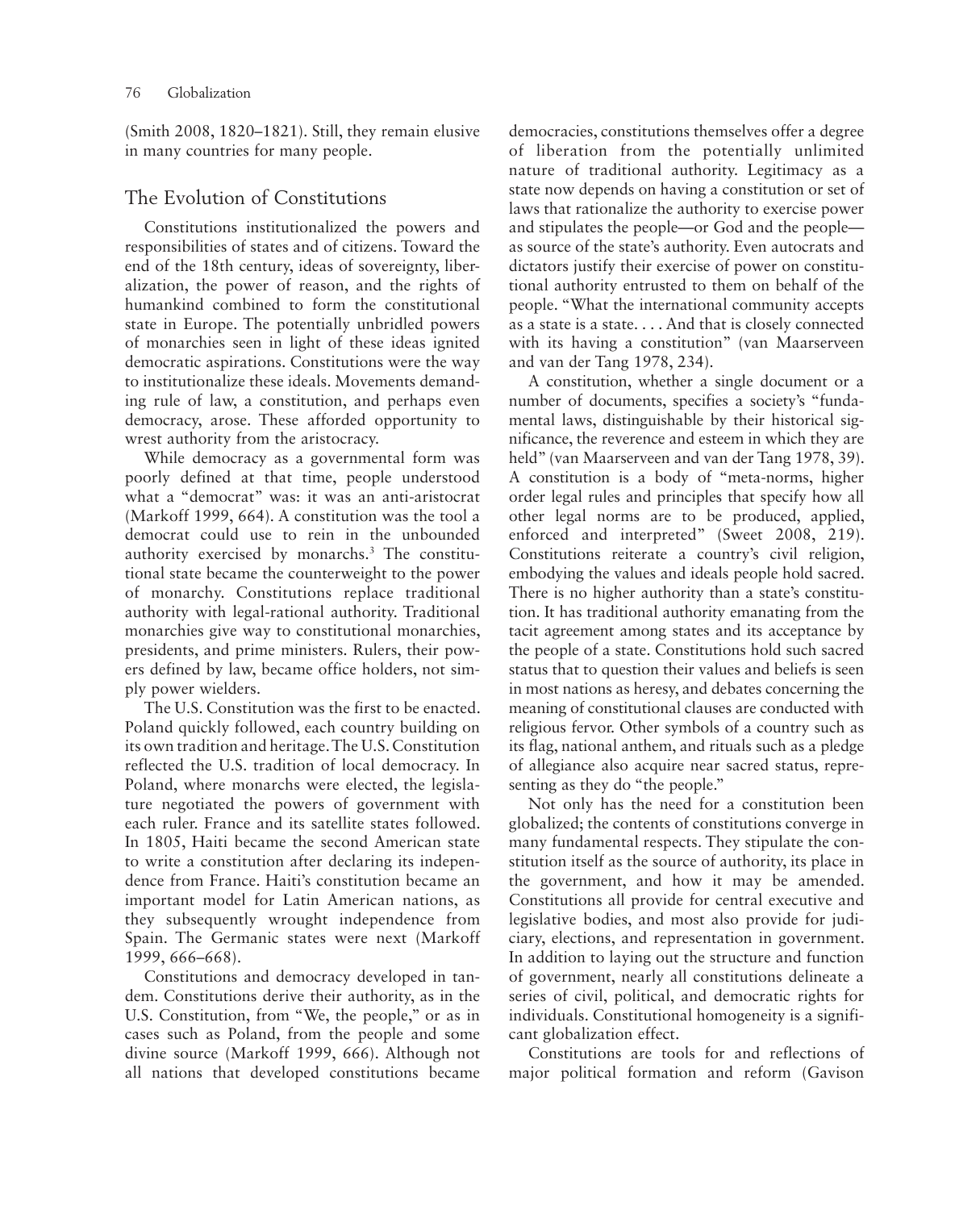(Smith 2008, 1820–1821). Still, they remain elusive in many countries for many people.

## The Evolution of Constitutions

Constitutions institutionalized the powers and responsibilities of states and of citizens. Toward the end of the 18th century, ideas of sovereignty, liberalization, the power of reason, and the rights of humankind combined to form the constitutional state in Europe. The potentially unbridled powers of monarchies seen in light of these ideas ignited democratic aspirations. Constitutions were the way to institutionalize these ideals. Movements demanding rule of law, a constitution, and perhaps even democracy, arose. These afforded opportunity to wrest authority from the aristocracy.

While democracy as a governmental form was poorly defined at that time, people understood what a "democrat" was: it was an anti-aristocrat (Markoff 1999, 664). A constitution was the tool a democrat could use to rein in the unbounded authority exercised by monarchs.3 The constitutional state became the counterweight to the power of monarchy. Constitutions replace traditional authority with legal-rational authority. Traditional monarchies give way to constitutional monarchies, presidents, and prime ministers. Rulers, their powers defined by law, became office holders, not simply power wielders.

The U.S. Constitution was the first to be enacted. Poland quickly followed, each country building on its own tradition and heritage. The U.S. Constitution reflected the U.S. tradition of local democracy. In Poland, where monarchs were elected, the legislature negotiated the powers of government with each ruler. France and its satellite states followed. In 1805, Haiti became the second American state to write a constitution after declaring its independence from France. Haiti's constitution became an important model for Latin American nations, as they subsequently wrought independence from Spain. The Germanic states were next (Markoff 1999, 666–668).

Constitutions and democracy developed in tandem. Constitutions derive their authority, as in the U.S. Constitution, from "We, the people," or as in cases such as Poland, from the people and some divine source (Markoff 1999, 666). Although not all nations that developed constitutions became democracies, constitutions themselves offer a degree of liberation from the potentially unlimited nature of traditional authority. Legitimacy as a state now depends on having a constitution or set of laws that rationalize the authority to exercise power and stipulates the people—or God and the people as source of the state's authority. Even autocrats and dictators justify their exercise of power on constitutional authority entrusted to them on behalf of the people. "What the international community accepts as a state is a state. . . . And that is closely connected with its having a constitution" (van Maarserveen and van der Tang 1978, 234).

A constitution, whether a single document or a number of documents, specifies a society's "fundamental laws, distinguishable by their historical significance, the reverence and esteem in which they are held" (van Maarserveen and van der Tang 1978, 39). A constitution is a body of "meta-norms, higher order legal rules and principles that specify how all other legal norms are to be produced, applied, enforced and interpreted" (Sweet 2008, 219). Constitutions reiterate a country's civil religion, embodying the values and ideals people hold sacred. There is no higher authority than a state's constitution. It has traditional authority emanating from the tacit agreement among states and its acceptance by the people of a state. Constitutions hold such sacred status that to question their values and beliefs is seen in most nations as heresy, and debates concerning the meaning of constitutional clauses are conducted with religious fervor. Other symbols of a country such as its flag, national anthem, and rituals such as a pledge of allegiance also acquire near sacred status, representing as they do "the people."

Not only has the need for a constitution been globalized; the contents of constitutions converge in many fundamental respects. They stipulate the constitution itself as the source of authority, its place in the government, and how it may be amended. Constitutions all provide for central executive and legislative bodies, and most also provide for judiciary, elections, and representation in government. In addition to laying out the structure and function of government, nearly all constitutions delineate a series of civil, political, and democratic rights for individuals. Constitutional homogeneity is a significant globalization effect.

Constitutions are tools for and reflections of major political formation and reform (Gavison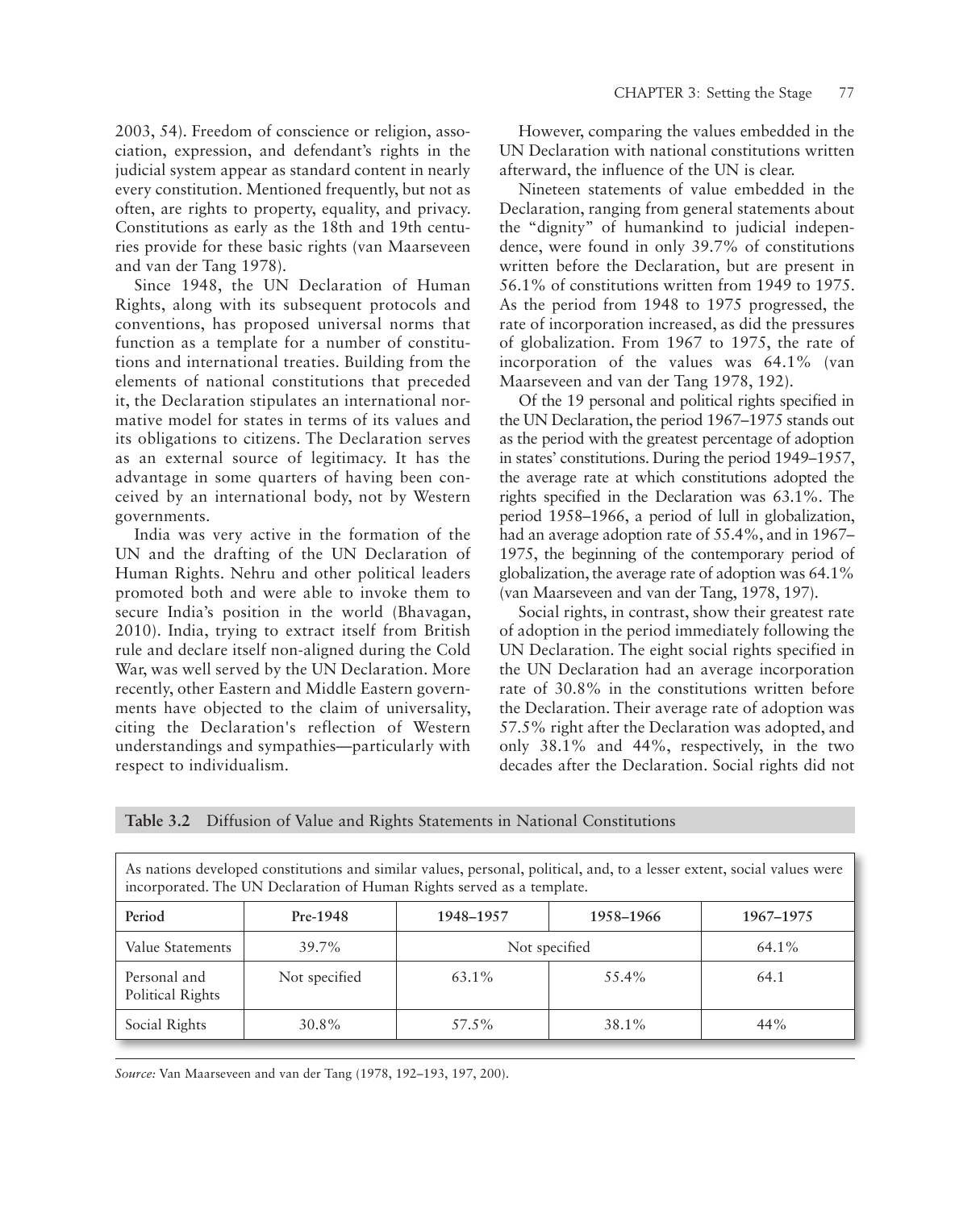2003, 54). Freedom of conscience or religion, association, expression, and defendant's rights in the judicial system appear as standard content in nearly every constitution. Mentioned frequently, but not as often, are rights to property, equality, and privacy. Constitutions as early as the 18th and 19th centuries provide for these basic rights (van Maarseveen and van der Tang 1978).

Since 1948, the UN Declaration of Human Rights, along with its subsequent protocols and conventions, has proposed universal norms that function as a template for a number of constitutions and international treaties. Building from the elements of national constitutions that preceded it, the Declaration stipulates an international normative model for states in terms of its values and its obligations to citizens. The Declaration serves as an external source of legitimacy. It has the advantage in some quarters of having been conceived by an international body, not by Western governments.

India was very active in the formation of the UN and the drafting of the UN Declaration of Human Rights. Nehru and other political leaders promoted both and were able to invoke them to secure India's position in the world (Bhavagan, 2010). India, trying to extract itself from British rule and declare itself non-aligned during the Cold War, was well served by the UN Declaration. More recently, other Eastern and Middle Eastern governments have objected to the claim of universality, citing the Declaration's reflection of Western understandings and sympathies—particularly with respect to individualism.

However, comparing the values embedded in the UN Declaration with national constitutions written afterward, the influence of the UN is clear.

Nineteen statements of value embedded in the Declaration, ranging from general statements about the "dignity" of humankind to judicial independence, were found in only 39.7% of constitutions written before the Declaration, but are present in 56.1% of constitutions written from 1949 to 1975. As the period from 1948 to 1975 progressed, the rate of incorporation increased, as did the pressures of globalization. From 1967 to 1975, the rate of incorporation of the values was 64.1% (van Maarseveen and van der Tang 1978, 192).

Of the 19 personal and political rights specified in the UN Declaration, the period 1967–1975 stands out as the period with the greatest percentage of adoption in states' constitutions. During the period 1949–1957, the average rate at which constitutions adopted the rights specified in the Declaration was 63.1%. The period 1958–1966, a period of lull in globalization, had an average adoption rate of 55.4%, and in 1967– 1975, the beginning of the contemporary period of globalization, the average rate of adoption was 64.1% (van Maarseveen and van der Tang, 1978, 197).

Social rights, in contrast, show their greatest rate of adoption in the period immediately following the UN Declaration. The eight social rights specified in the UN Declaration had an average incorporation rate of 30.8% in the constitutions written before the Declaration. Their average rate of adoption was 57.5% right after the Declaration was adopted, and only 38.1% and 44%, respectively, in the two decades after the Declaration. Social rights did not

**Table 3.2** Diffusion of Value and Rights Statements in National Constitutions

| As nations developed constitutions and similar values, personal, political, and, to a lesser extent, social values were<br>incorporated. The UN Declaration of Human Rights served as a template. |               |               |           |           |  |  |  |
|---------------------------------------------------------------------------------------------------------------------------------------------------------------------------------------------------|---------------|---------------|-----------|-----------|--|--|--|
| Period                                                                                                                                                                                            | Pre-1948      | 1948-1957     | 1958-1966 | 1967–1975 |  |  |  |
| Value Statements                                                                                                                                                                                  | 39.7%         | Not specified |           | $64.1\%$  |  |  |  |
| Personal and<br>Political Rights                                                                                                                                                                  | Not specified | $63.1\%$      | 55.4%     | 64.1      |  |  |  |
| Social Rights                                                                                                                                                                                     | 30.8%         | 57.5%         | 38.1%     | 44%       |  |  |  |

*Source:* Van Maarseveen and van der Tang (1978, 192–193, 197, 200).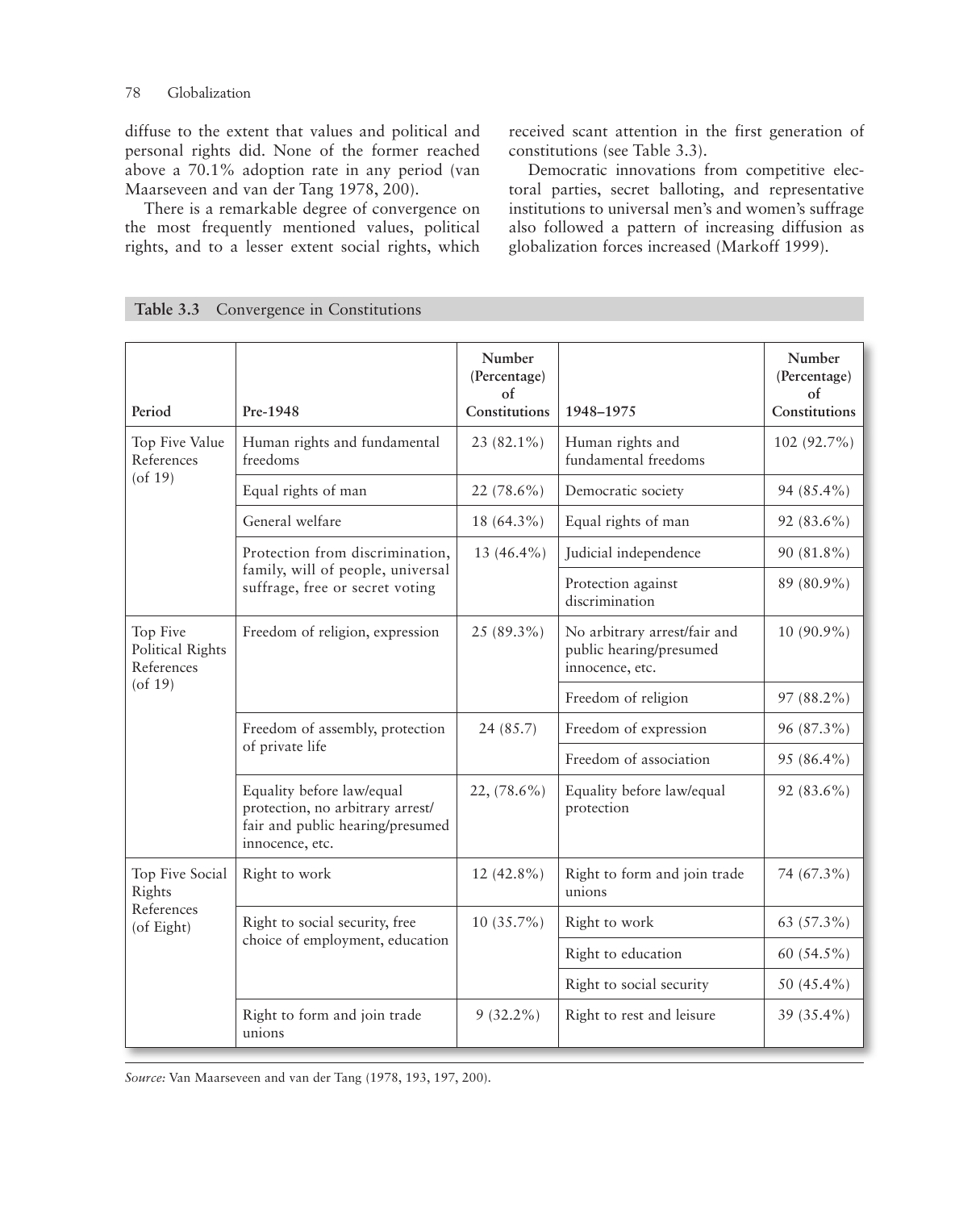diffuse to the extent that values and political and personal rights did. None of the former reached above a 70.1% adoption rate in any period (van Maarseveen and van der Tang 1978, 200).

There is a remarkable degree of convergence on the most frequently mentioned values, political rights, and to a lesser extent social rights, which received scant attention in the first generation of constitutions (see Table 3.3).

Democratic innovations from competitive electoral parties, secret balloting, and representative institutions to universal men's and women's suffrage also followed a pattern of increasing diffusion as globalization forces increased (Markoff 1999).

|                                                             |                                                                                                                      | Number<br>(Percentage)<br>of |                                                                            | Number<br>(Percentage)<br>$\alpha$ f |
|-------------------------------------------------------------|----------------------------------------------------------------------------------------------------------------------|------------------------------|----------------------------------------------------------------------------|--------------------------------------|
| Period                                                      | Pre-1948                                                                                                             | Constitutions                | 1948-1975                                                                  | Constitutions                        |
| Top Five Value<br>References<br>$($ of 19 $)$               | Human rights and fundamental<br>freedoms                                                                             | 23 (82.1%)                   | Human rights and<br>fundamental freedoms                                   | 102 (92.7%)                          |
|                                                             | Equal rights of man                                                                                                  | 22 (78.6%)                   | Democratic society                                                         | 94 (85.4%)                           |
|                                                             | General welfare                                                                                                      | $18(64.3\%)$                 | Equal rights of man                                                        | $92(83.6\%)$                         |
|                                                             | Protection from discrimination,<br>family, will of people, universal<br>suffrage, free or secret voting              | 13 (46.4%)                   | Judicial independence                                                      | 90 (81.8%)                           |
|                                                             |                                                                                                                      |                              | Protection against<br>discrimination                                       | 89 (80.9%)                           |
| Top Five<br>Political Rights<br>References<br>$($ of 19 $)$ | Freedom of religion, expression                                                                                      | $25(89.3\%)$                 | No arbitrary arrest/fair and<br>public hearing/presumed<br>innocence, etc. | 10 (90.9%)                           |
|                                                             |                                                                                                                      |                              | Freedom of religion                                                        | 97 (88.2%)                           |
|                                                             | Freedom of assembly, protection<br>of private life                                                                   | 24 (85.7)                    | Freedom of expression                                                      | 96 (87.3%)                           |
|                                                             |                                                                                                                      |                              | Freedom of association                                                     | 95 (86.4%)                           |
|                                                             | Equality before law/equal<br>protection, no arbitrary arrest/<br>fair and public hearing/presumed<br>innocence, etc. | $22, (78.6\%)$               | Equality before law/equal<br>protection                                    | $92(83.6\%)$                         |
| Top Five Social<br>Rights<br>References<br>(of Eight)       | Right to work                                                                                                        | 12 $(42.8\%)$                | Right to form and join trade<br>unions                                     | 74 (67.3%)                           |
|                                                             | Right to social security, free<br>choice of employment, education                                                    | $10(35.7\%)$                 | Right to work                                                              | 63 (57.3%)                           |
|                                                             |                                                                                                                      |                              | Right to education                                                         | 60 $(54.5\%)$                        |
|                                                             |                                                                                                                      |                              | Right to social security                                                   | 50 (45.4%)                           |
|                                                             | Right to form and join trade<br>unions                                                                               | $9(32.2\%)$                  | Right to rest and leisure                                                  | 39 (35.4%)                           |

*Source:* Van Maarseveen and van der Tang (1978, 193, 197, 200).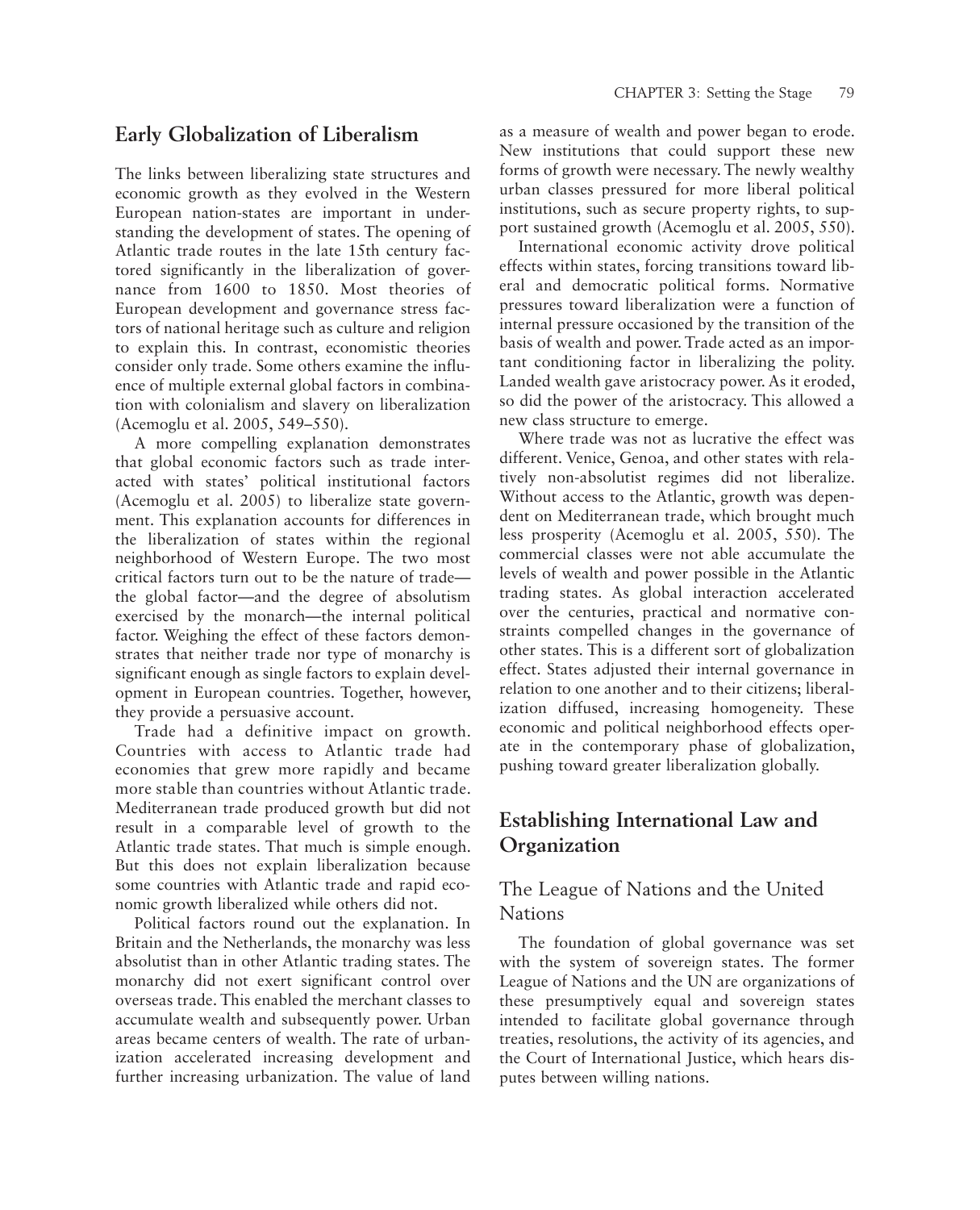#### **Early Globalization of Liberalism**

The links between liberalizing state structures and economic growth as they evolved in the Western European nation-states are important in understanding the development of states. The opening of Atlantic trade routes in the late 15th century factored significantly in the liberalization of governance from 1600 to 1850. Most theories of European development and governance stress factors of national heritage such as culture and religion to explain this. In contrast, economistic theories consider only trade. Some others examine the influence of multiple external global factors in combination with colonialism and slavery on liberalization (Acemoglu et al. 2005, 549–550).

A more compelling explanation demonstrates that global economic factors such as trade interacted with states' political institutional factors (Acemoglu et al. 2005) to liberalize state government. This explanation accounts for differences in the liberalization of states within the regional neighborhood of Western Europe. The two most critical factors turn out to be the nature of trade the global factor—and the degree of absolutism exercised by the monarch—the internal political factor. Weighing the effect of these factors demonstrates that neither trade nor type of monarchy is significant enough as single factors to explain development in European countries. Together, however, they provide a persuasive account.

Trade had a definitive impact on growth. Countries with access to Atlantic trade had economies that grew more rapidly and became more stable than countries without Atlantic trade. Mediterranean trade produced growth but did not result in a comparable level of growth to the Atlantic trade states. That much is simple enough. But this does not explain liberalization because some countries with Atlantic trade and rapid economic growth liberalized while others did not.

Political factors round out the explanation. In Britain and the Netherlands, the monarchy was less absolutist than in other Atlantic trading states. The monarchy did not exert significant control over overseas trade. This enabled the merchant classes to accumulate wealth and subsequently power. Urban areas became centers of wealth. The rate of urbanization accelerated increasing development and further increasing urbanization. The value of land as a measure of wealth and power began to erode. New institutions that could support these new forms of growth were necessary. The newly wealthy urban classes pressured for more liberal political institutions, such as secure property rights, to support sustained growth (Acemoglu et al. 2005, 550).

International economic activity drove political effects within states, forcing transitions toward liberal and democratic political forms. Normative pressures toward liberalization were a function of internal pressure occasioned by the transition of the basis of wealth and power. Trade acted as an important conditioning factor in liberalizing the polity. Landed wealth gave aristocracy power. As it eroded, so did the power of the aristocracy. This allowed a new class structure to emerge.

Where trade was not as lucrative the effect was different. Venice, Genoa, and other states with relatively non-absolutist regimes did not liberalize. Without access to the Atlantic, growth was dependent on Mediterranean trade, which brought much less prosperity (Acemoglu et al. 2005, 550). The commercial classes were not able accumulate the levels of wealth and power possible in the Atlantic trading states. As global interaction accelerated over the centuries, practical and normative constraints compelled changes in the governance of other states. This is a different sort of globalization effect. States adjusted their internal governance in relation to one another and to their citizens; liberalization diffused, increasing homogeneity. These economic and political neighborhood effects operate in the contemporary phase of globalization, pushing toward greater liberalization globally.

# **Establishing International Law and Organization**

# The League of Nations and the United Nations

The foundation of global governance was set with the system of sovereign states. The former League of Nations and the UN are organizations of these presumptively equal and sovereign states intended to facilitate global governance through treaties, resolutions, the activity of its agencies, and the Court of International Justice, which hears disputes between willing nations.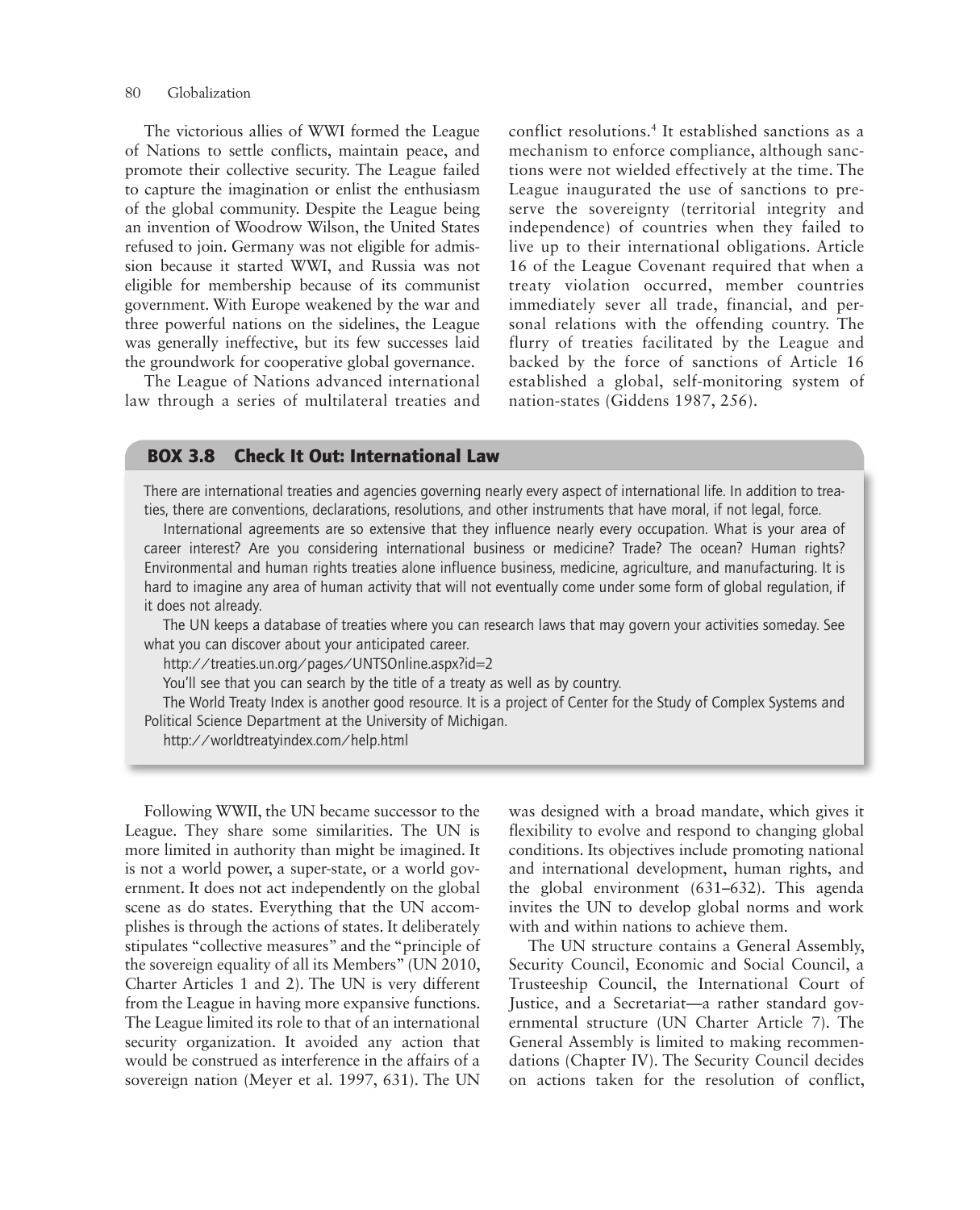#### 80 Globalization

The victorious allies of WWI formed the League of Nations to settle conflicts, maintain peace, and promote their collective security. The League failed to capture the imagination or enlist the enthusiasm of the global community. Despite the League being an invention of Woodrow Wilson, the United States refused to join. Germany was not eligible for admission because it started WWI, and Russia was not eligible for membership because of its communist government. With Europe weakened by the war and three powerful nations on the sidelines, the League was generally ineffective, but its few successes laid the groundwork for cooperative global governance.

The League of Nations advanced international law through a series of multilateral treaties and conflict resolutions.4 It established sanctions as a mechanism to enforce compliance, although sanctions were not wielded effectively at the time. The League inaugurated the use of sanctions to preserve the sovereignty (territorial integrity and independence) of countries when they failed to live up to their international obligations. Article 16 of the League Covenant required that when a treaty violation occurred, member countries immediately sever all trade, financial, and personal relations with the offending country. The flurry of treaties facilitated by the League and backed by the force of sanctions of Article 16 established a global, self-monitoring system of nation-states (Giddens 1987, 256).

#### BOX 3.8 Check It Out: International Law

There are international treaties and agencies governing nearly every aspect of international life. In addition to treaties, there are conventions, declarations, resolutions, and other instruments that have moral, if not legal, force.

International agreements are so extensive that they influence nearly every occupation. What is your area of career interest? Are you considering international business or medicine? Trade? The ocean? Human rights? Environmental and human rights treaties alone influence business, medicine, agriculture, and manufacturing. It is hard to imagine any area of human activity that will not eventually come under some form of global regulation, if it does not already.

The UN keeps a database of treaties where you can research laws that may govern your activities someday. See what you can discover about your anticipated career.

http://treaties.un.org/pages/UNTSOnline.aspx?id=2

You'll see that you can search by the title of a treaty as well as by country.

The World Treaty Index is another good resource. It is a project of Center for the Study of Complex Systems and Political Science Department at the University of Michigan.

http://worldtreatyindex.com/help.html

Following WWII, the UN became successor to the League. They share some similarities. The UN is more limited in authority than might be imagined. It is not a world power, a super-state, or a world government. It does not act independently on the global scene as do states. Everything that the UN accomplishes is through the actions of states. It deliberately stipulates "collective measures" and the "principle of the sovereign equality of all its Members" (UN 2010, Charter Articles 1 and 2). The UN is very different from the League in having more expansive functions. The League limited its role to that of an international security organization. It avoided any action that would be construed as interference in the affairs of a sovereign nation (Meyer et al. 1997, 631). The UN

was designed with a broad mandate, which gives it flexibility to evolve and respond to changing global conditions. Its objectives include promoting national and international development, human rights, and the global environment (631–632). This agenda invites the UN to develop global norms and work with and within nations to achieve them.

The UN structure contains a General Assembly, Security Council, Economic and Social Council, a Trusteeship Council, the International Court of Justice, and a Secretariat—a rather standard governmental structure (UN Charter Article 7). The General Assembly is limited to making recommendations (Chapter IV). The Security Council decides on actions taken for the resolution of conflict,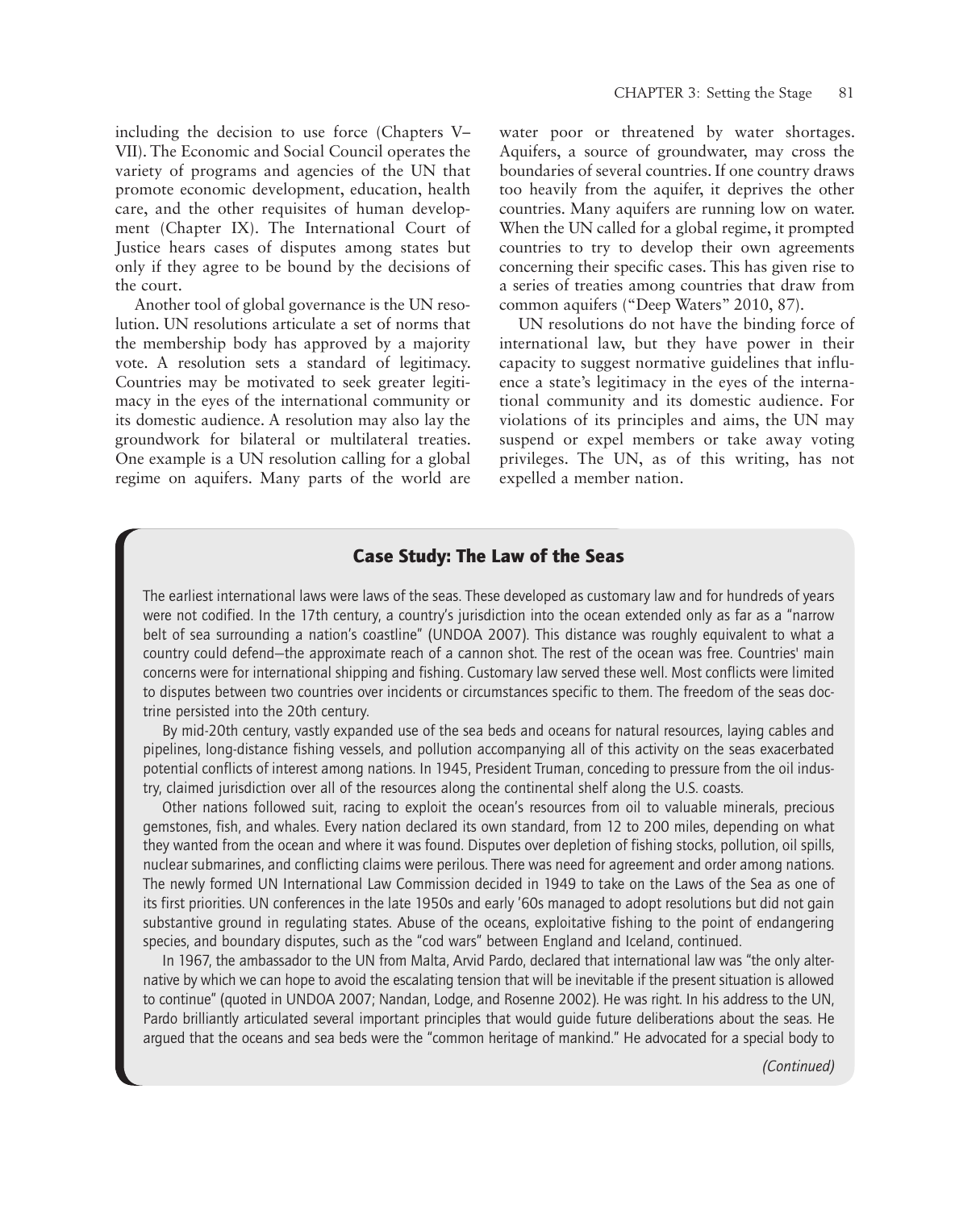including the decision to use force (Chapters V– VII). The Economic and Social Council operates the variety of programs and agencies of the UN that promote economic development, education, health care, and the other requisites of human development (Chapter IX). The International Court of Justice hears cases of disputes among states but only if they agree to be bound by the decisions of the court.

Another tool of global governance is the UN resolution. UN resolutions articulate a set of norms that the membership body has approved by a majority vote. A resolution sets a standard of legitimacy. Countries may be motivated to seek greater legitimacy in the eyes of the international community or its domestic audience. A resolution may also lay the groundwork for bilateral or multilateral treaties. One example is a UN resolution calling for a global regime on aquifers. Many parts of the world are

water poor or threatened by water shortages. Aquifers, a source of groundwater, may cross the boundaries of several countries. If one country draws too heavily from the aquifer, it deprives the other countries. Many aquifers are running low on water. When the UN called for a global regime, it prompted countries to try to develop their own agreements concerning their specific cases. This has given rise to a series of treaties among countries that draw from common aquifers ("Deep Waters" 2010, 87).

UN resolutions do not have the binding force of international law, but they have power in their capacity to suggest normative guidelines that influence a state's legitimacy in the eyes of the international community and its domestic audience. For violations of its principles and aims, the UN may suspend or expel members or take away voting privileges. The UN, as of this writing, has not expelled a member nation.

#### Case Study: The Law of the Seas

The earliest international laws were laws of the seas. These developed as customary law and for hundreds of years were not codified. In the 17th century, a country's jurisdiction into the ocean extended only as far as a "narrow belt of sea surrounding a nation's coastline" (UNDOA 2007). This distance was roughly equivalent to what a country could defend—the approximate reach of a cannon shot. The rest of the ocean was free. Countries' main concerns were for international shipping and fishing. Customary law served these well. Most conflicts were limited to disputes between two countries over incidents or circumstances specific to them. The freedom of the seas doctrine persisted into the 20th century.

By mid-20th century, vastly expanded use of the sea beds and oceans for natural resources, laying cables and pipelines, long-distance fishing vessels, and pollution accompanying all of this activity on the seas exacerbated potential conflicts of interest among nations. In 1945, President Truman, conceding to pressure from the oil industry, claimed jurisdiction over all of the resources along the continental shelf along the U.S. coasts.

Other nations followed suit, racing to exploit the ocean's resources from oil to valuable minerals, precious gemstones, fish, and whales. Every nation declared its own standard, from 12 to 200 miles, depending on what they wanted from the ocean and where it was found. Disputes over depletion of fishing stocks, pollution, oil spills, nuclear submarines, and conflicting claims were perilous. There was need for agreement and order among nations. The newly formed UN International Law Commission decided in 1949 to take on the Laws of the Sea as one of its first priorities. UN conferences in the late 1950s and early '60s managed to adopt resolutions but did not gain substantive ground in regulating states. Abuse of the oceans, exploitative fishing to the point of endangering species, and boundary disputes, such as the "cod wars" between England and Iceland, continued.

In 1967, the ambassador to the UN from Malta, Arvid Pardo, declared that international law was "the only alternative by which we can hope to avoid the escalating tension that will be inevitable if the present situation is allowed to continue" (quoted in UNDOA 2007; Nandan, Lodge, and Rosenne 2002). He was right. In his address to the UN, Pardo brilliantly articulated several important principles that would guide future deliberations about the seas. He argued that the oceans and sea beds were the "common heritage of mankind." He advocated for a special body to

*(Continued)*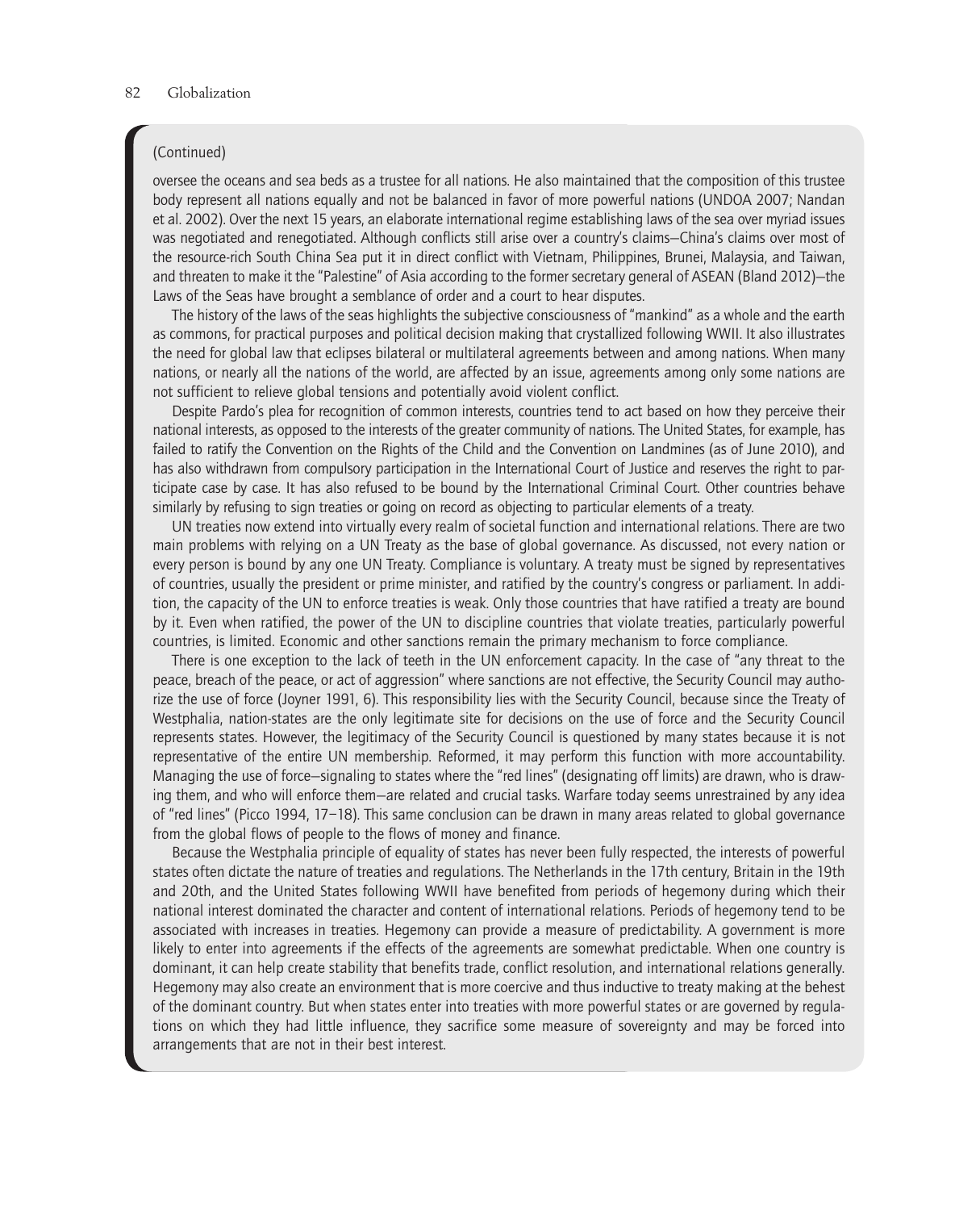#### (Continued)

oversee the oceans and sea beds as a trustee for all nations. He also maintained that the composition of this trustee body represent all nations equally and not be balanced in favor of more powerful nations (UNDOA 2007; Nandan et al. 2002). Over the next 15 years, an elaborate international regime establishing laws of the sea over myriad issues was negotiated and renegotiated. Although conflicts still arise over a country's claims—China's claims over most of the resource-rich South China Sea put it in direct conflict with Vietnam, Philippines, Brunei, Malaysia, and Taiwan, and threaten to make it the "Palestine" of Asia according to the former secretary general of ASEAN (Bland 2012)—the Laws of the Seas have brought a semblance of order and a court to hear disputes.

The history of the laws of the seas highlights the subjective consciousness of "mankind" as a whole and the earth as commons, for practical purposes and political decision making that crystallized following WWII. It also illustrates the need for global law that eclipses bilateral or multilateral agreements between and among nations. When many nations, or nearly all the nations of the world, are affected by an issue, agreements among only some nations are not sufficient to relieve global tensions and potentially avoid violent conflict.

Despite Pardo's plea for recognition of common interests, countries tend to act based on how they perceive their national interests, as opposed to the interests of the greater community of nations. The United States, for example, has failed to ratify the Convention on the Rights of the Child and the Convention on Landmines (as of June 2010), and has also withdrawn from compulsory participation in the International Court of Justice and reserves the right to participate case by case. It has also refused to be bound by the International Criminal Court. Other countries behave similarly by refusing to sign treaties or going on record as objecting to particular elements of a treaty.

UN treaties now extend into virtually every realm of societal function and international relations. There are two main problems with relying on a UN Treaty as the base of global governance. As discussed, not every nation or every person is bound by any one UN Treaty. Compliance is voluntary. A treaty must be signed by representatives of countries, usually the president or prime minister, and ratified by the country's congress or parliament. In addition, the capacity of the UN to enforce treaties is weak. Only those countries that have ratified a treaty are bound by it. Even when ratified, the power of the UN to discipline countries that violate treaties, particularly powerful countries, is limited. Economic and other sanctions remain the primary mechanism to force compliance.

There is one exception to the lack of teeth in the UN enforcement capacity. In the case of "any threat to the peace, breach of the peace, or act of aggression" where sanctions are not effective, the Security Council may authorize the use of force (Joyner 1991, 6). This responsibility lies with the Security Council, because since the Treaty of Westphalia, nation-states are the only legitimate site for decisions on the use of force and the Security Council represents states. However, the legitimacy of the Security Council is questioned by many states because it is not representative of the entire UN membership. Reformed, it may perform this function with more accountability. Managing the use of force—signaling to states where the "red lines" (designating off limits) are drawn, who is drawing them, and who will enforce them—are related and crucial tasks. Warfare today seems unrestrained by any idea of "red lines" (Picco 1994, 17–18). This same conclusion can be drawn in many areas related to global governance from the global flows of people to the flows of money and finance.

Because the Westphalia principle of equality of states has never been fully respected, the interests of powerful states often dictate the nature of treaties and regulations. The Netherlands in the 17th century, Britain in the 19th and 20th, and the United States following WWII have benefited from periods of hegemony during which their national interest dominated the character and content of international relations. Periods of hegemony tend to be associated with increases in treaties. Hegemony can provide a measure of predictability. A government is more likely to enter into agreements if the effects of the agreements are somewhat predictable. When one country is dominant, it can help create stability that benefits trade, conflict resolution, and international relations generally. Hegemony may also create an environment that is more coercive and thus inductive to treaty making at the behest of the dominant country. But when states enter into treaties with more powerful states or are governed by regulations on which they had little influence, they sacrifice some measure of sovereignty and may be forced into arrangements that are not in their best interest.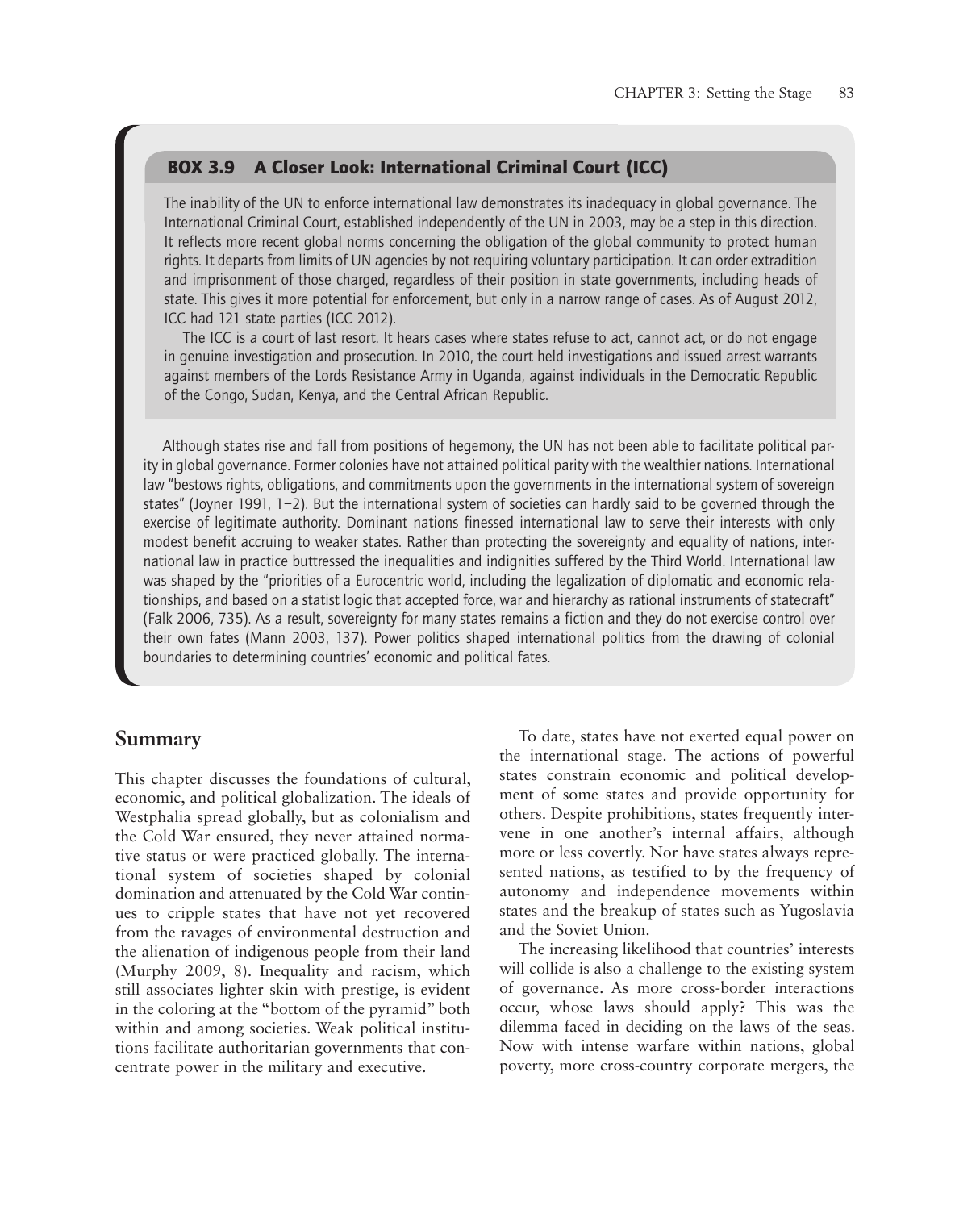## BOX 3.9 A Closer Look: International Criminal Court (ICC)

The inability of the UN to enforce international law demonstrates its inadequacy in global governance. The International Criminal Court, established independently of the UN in 2003, may be a step in this direction. It reflects more recent global norms concerning the obligation of the global community to protect human rights. It departs from limits of UN agencies by not requiring voluntary participation. It can order extradition and imprisonment of those charged, regardless of their position in state governments, including heads of state. This gives it more potential for enforcement, but only in a narrow range of cases. As of August 2012, ICC had 121 state parties (ICC 2012).

The ICC is a court of last resort. It hears cases where states refuse to act, cannot act, or do not engage in genuine investigation and prosecution. In 2010, the court held investigations and issued arrest warrants against members of the Lords Resistance Army in Uganda, against individuals in the Democratic Republic of the Congo, Sudan, Kenya, and the Central African Republic.

Although states rise and fall from positions of hegemony, the UN has not been able to facilitate political parity in global governance. Former colonies have not attained political parity with the wealthier nations. International law "bestows rights, obligations, and commitments upon the governments in the international system of sovereign states" (Joyner 1991, 1–2). But the international system of societies can hardly said to be governed through the exercise of legitimate authority. Dominant nations finessed international law to serve their interests with only modest benefit accruing to weaker states. Rather than protecting the sovereignty and equality of nations, international law in practice buttressed the inequalities and indignities suffered by the Third World. International law was shaped by the "priorities of a Eurocentric world, including the legalization of diplomatic and economic relationships, and based on a statist logic that accepted force, war and hierarchy as rational instruments of statecraft" (Falk 2006, 735). As a result, sovereignty for many states remains a fiction and they do not exercise control over their own fates (Mann 2003, 137). Power politics shaped international politics from the drawing of colonial boundaries to determining countries' economic and political fates.

## **Summary**

This chapter discusses the foundations of cultural, economic, and political globalization. The ideals of Westphalia spread globally, but as colonialism and the Cold War ensured, they never attained normative status or were practiced globally. The international system of societies shaped by colonial domination and attenuated by the Cold War continues to cripple states that have not yet recovered from the ravages of environmental destruction and the alienation of indigenous people from their land (Murphy 2009, 8). Inequality and racism, which still associates lighter skin with prestige, is evident in the coloring at the "bottom of the pyramid" both within and among societies. Weak political institutions facilitate authoritarian governments that concentrate power in the military and executive.

To date, states have not exerted equal power on the international stage. The actions of powerful states constrain economic and political development of some states and provide opportunity for others. Despite prohibitions, states frequently intervene in one another's internal affairs, although more or less covertly. Nor have states always represented nations, as testified to by the frequency of autonomy and independence movements within states and the breakup of states such as Yugoslavia and the Soviet Union.

The increasing likelihood that countries' interests will collide is also a challenge to the existing system of governance. As more cross-border interactions occur, whose laws should apply? This was the dilemma faced in deciding on the laws of the seas. Now with intense warfare within nations, global poverty, more cross-country corporate mergers, the